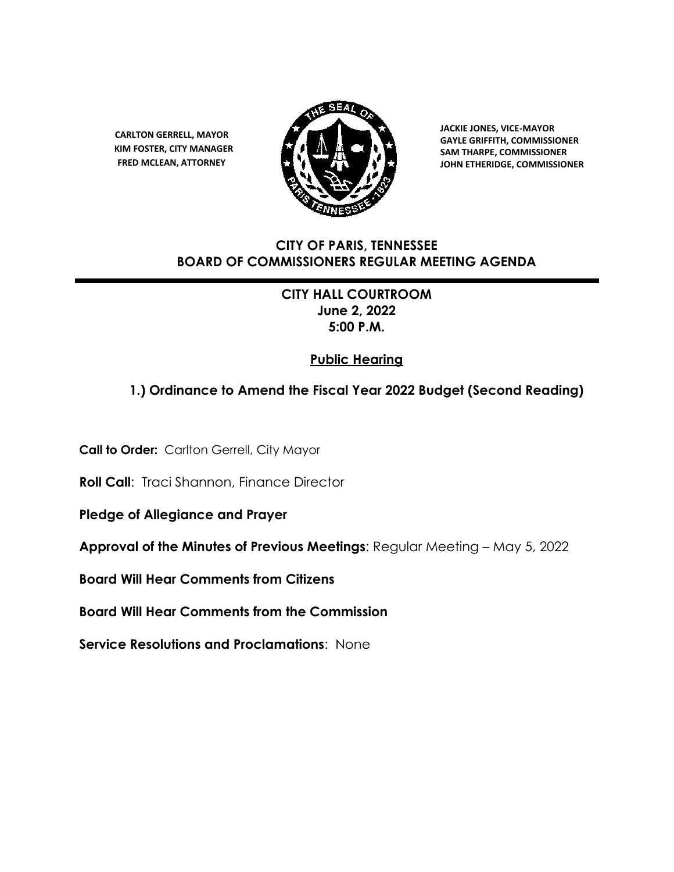**CARLTON GERRELL, MAYOR KIM FOSTER, CITY MANAGER FRED MCLEAN, ATTORNEY**



 **JACKIE JONES, VICE-MAYOR GAYLE GRIFFITH, COMMISSIONER SAM THARPE, COMMISSIONER JOHN ETHERIDGE, COMMISSIONER**

# **CITY OF PARIS, TENNESSEE BOARD OF COMMISSIONERS REGULAR MEETING AGENDA**

**CITY HALL COURTROOM June 2, 2022 5:00 P.M.**

# **Public Hearing**

# **1.) Ordinance to Amend the Fiscal Year 2022 Budget (Second Reading)**

**Call to Order:** Carlton Gerrell, City Mayor

**Roll Call:** Traci Shannon, Finance Director

**Pledge of Allegiance and Prayer** 

**Approval of the Minutes of Previous Meetings**: Regular Meeting – May 5, 2022

**Board Will Hear Comments from Citizens** 

**Board Will Hear Comments from the Commission** 

**Service Resolutions and Proclamations**: None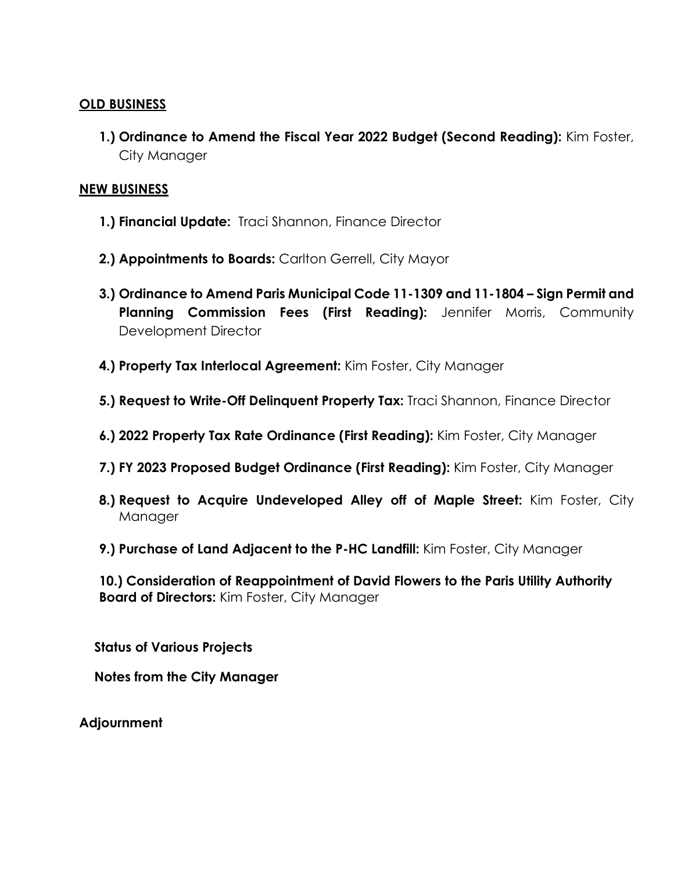# **OLD BUSINESS**

**1.) Ordinance to Amend the Fiscal Year 2022 Budget (Second Reading):** Kim Foster, City Manager

# **NEW BUSINESS**

- **1.) Financial Update:** Traci Shannon, Finance Director
- **2.) Appointments to Boards:** Carlton Gerrell, City Mayor
- **3.) Ordinance to Amend Paris Municipal Code 11-1309 and 11-1804 – Sign Permit and Planning Commission Fees (First Reading):** Jennifer Morris, Community Development Director
- **4.) Property Tax Interlocal Agreement:** Kim Foster, City Manager
- **5.) Request to Write-Off Delinquent Property Tax:** Traci Shannon, Finance Director
- **6.) 2022 Property Tax Rate Ordinance (First Reading):** Kim Foster, City Manager
- **7.) FY 2023 Proposed Budget Ordinance (First Reading):** Kim Foster, City Manager
- **8.) Request to Acquire Undeveloped Alley off of Maple Street:** Kim Foster, City Manager
- **9.) Purchase of Land Adjacent to the P-HC Landfill:** Kim Foster, City Manager

**10.) Consideration of Reappointment of David Flowers to the Paris Utility Authority Board of Directors:** Kim Foster, City Manager

**Status of Various Projects**

**Notes from the City Manager**

**Adjournment**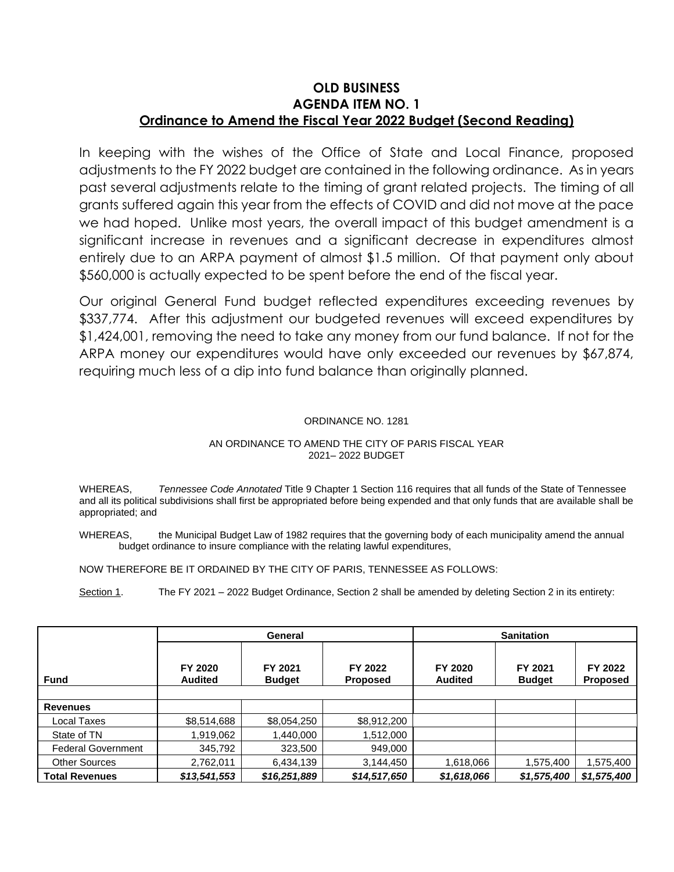### **OLD BUSINESS AGENDA ITEM NO. 1 Ordinance to Amend the Fiscal Year 2022 Budget (Second Reading)**

In keeping with the wishes of the Office of State and Local Finance, proposed adjustments to the FY 2022 budget are contained in the following ordinance. As in years past several adjustments relate to the timing of grant related projects. The timing of all grants suffered again this year from the effects of COVID and did not move at the pace we had hoped. Unlike most years, the overall impact of this budget amendment is a significant increase in revenues and a significant decrease in expenditures almost entirely due to an ARPA payment of almost \$1.5 million. Of that payment only about \$560,000 is actually expected to be spent before the end of the fiscal year.

Our original General Fund budget reflected expenditures exceeding revenues by \$337,774. After this adjustment our budgeted revenues will exceed expenditures by \$1,424,001, removing the need to take any money from our fund balance. If not for the ARPA money our expenditures would have only exceeded our revenues by \$67,874, requiring much less of a dip into fund balance than originally planned.

#### ORDINANCE NO. 1281

#### AN ORDINANCE TO AMEND THE CITY OF PARIS FISCAL YEAR 2021– 2022 BUDGET

WHEREAS, *Tennessee Code Annotated* Title 9 Chapter 1 Section 116 requires that all funds of the State of Tennessee and all its political subdivisions shall first be appropriated before being expended and that only funds that are available shall be appropriated; and

WHEREAS, the Municipal Budget Law of 1982 requires that the governing body of each municipality amend the annual budget ordinance to insure compliance with the relating lawful expenditures,

NOW THEREFORE BE IT ORDAINED BY THE CITY OF PARIS, TENNESSEE AS FOLLOWS:

Section 1. The FY 2021 – 2022 Budget Ordinance, Section 2 shall be amended by deleting Section 2 in its entirety:

|                           |                           | General                  |                            | <b>Sanitation</b>         |                          |                            |
|---------------------------|---------------------------|--------------------------|----------------------------|---------------------------|--------------------------|----------------------------|
| <b>Fund</b>               | FY 2020<br><b>Audited</b> | FY 2021<br><b>Budget</b> | FY 2022<br><b>Proposed</b> | FY 2020<br><b>Audited</b> | FY 2021<br><b>Budget</b> | FY 2022<br><b>Proposed</b> |
|                           |                           |                          |                            |                           |                          |                            |
| <b>Revenues</b>           |                           |                          |                            |                           |                          |                            |
| Local Taxes               | \$8,514,688               | \$8,054,250              | \$8,912,200                |                           |                          |                            |
| State of TN               | 1,919,062                 | 1,440,000                | 1,512,000                  |                           |                          |                            |
| <b>Federal Government</b> | 345,792                   | 323,500                  | 949,000                    |                           |                          |                            |
| <b>Other Sources</b>      | 2,762,011                 | 6,434,139                | 3,144,450                  | 1,618,066                 | 1,575,400                | 1,575,400                  |
| <b>Total Revenues</b>     | \$13,541,553              | \$16,251,889             | \$14,517,650               | \$1,618,066               | \$1,575,400              | \$1,575,400                |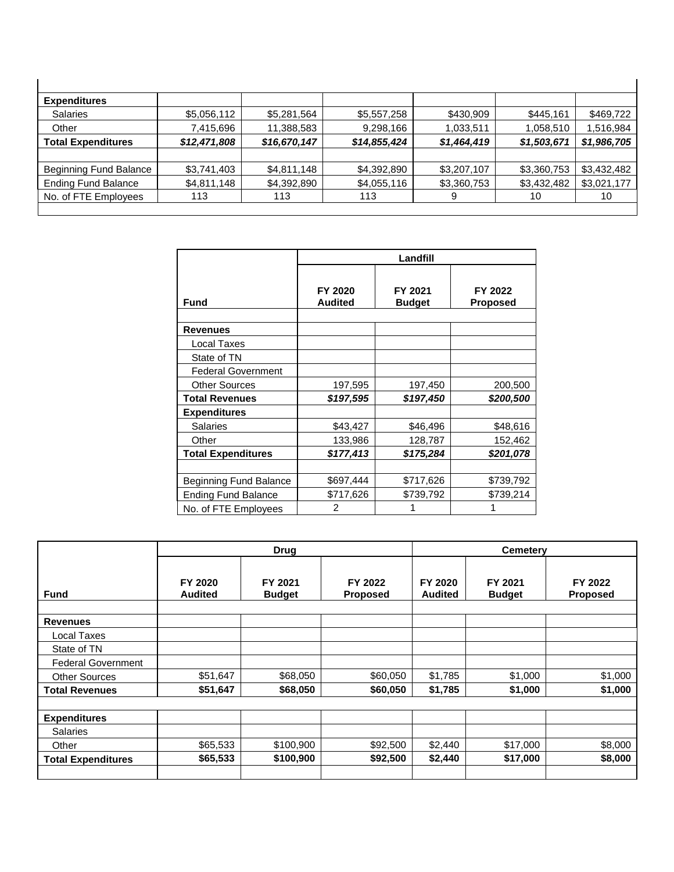| <b>Expenditures</b>           |              |              |              |             |             |             |
|-------------------------------|--------------|--------------|--------------|-------------|-------------|-------------|
| <b>Salaries</b>               | \$5,056,112  | \$5,281,564  | \$5,557,258  | \$430,909   | \$445,161   | \$469,722   |
| Other                         | 7,415,696    | 11,388,583   | 9,298,166    | 1,033,511   | 1,058,510   | 1,516,984   |
| <b>Total Expenditures</b>     | \$12,471,808 | \$16,670,147 | \$14,855,424 | \$1,464,419 | \$1,503,671 | \$1,986,705 |
|                               |              |              |              |             |             |             |
| <b>Beginning Fund Balance</b> | \$3,741,403  | \$4,811,148  | \$4,392,890  | \$3,207,107 | \$3,360,753 | \$3,432,482 |
| <b>Ending Fund Balance</b>    | \$4,811,148  | \$4,392,890  | \$4,055,116  | \$3,360,753 | \$3,432,482 | \$3,021,177 |
| No. of FTE Employees          | 113          | 113          | 113          | 9           | 10          | 10          |
|                               |              |              |              |             |             |             |

|                            | Landfill                  |                          |                            |  |  |  |
|----------------------------|---------------------------|--------------------------|----------------------------|--|--|--|
| <b>Fund</b>                | FY 2020<br><b>Audited</b> | FY 2021<br><b>Budget</b> | FY 2022<br><b>Proposed</b> |  |  |  |
|                            |                           |                          |                            |  |  |  |
| <b>Revenues</b>            |                           |                          |                            |  |  |  |
| Local Taxes                |                           |                          |                            |  |  |  |
| State of TN                |                           |                          |                            |  |  |  |
| <b>Federal Government</b>  |                           |                          |                            |  |  |  |
| <b>Other Sources</b>       | 197,595                   | 197,450                  | 200,500                    |  |  |  |
| <b>Total Revenues</b>      | \$197,595                 | \$197,450                | \$200,500                  |  |  |  |
| <b>Expenditures</b>        |                           |                          |                            |  |  |  |
| <b>Salaries</b>            | \$43,427                  | \$46,496                 | \$48,616                   |  |  |  |
| Other                      | 133,986                   | 128,787                  | 152,462                    |  |  |  |
| <b>Total Expenditures</b>  | \$177,413                 | \$175,284                | \$201,078                  |  |  |  |
|                            |                           |                          |                            |  |  |  |
| Beginning Fund Balance     | \$697,444                 | \$717,626                | \$739,792                  |  |  |  |
| <b>Ending Fund Balance</b> | \$717,626                 | \$739,792                | \$739,214                  |  |  |  |
| No. of FTE Employees       | 2                         |                          |                            |  |  |  |

|                           | <b>Drug</b>               |                          |                            | <b>Cemetery</b>           |                          |                            |  |
|---------------------------|---------------------------|--------------------------|----------------------------|---------------------------|--------------------------|----------------------------|--|
| <b>Fund</b>               | FY 2020<br><b>Audited</b> | FY 2021<br><b>Budget</b> | FY 2022<br><b>Proposed</b> | FY 2020<br><b>Audited</b> | FY 2021<br><b>Budget</b> | FY 2022<br><b>Proposed</b> |  |
| <b>Revenues</b>           |                           |                          |                            |                           |                          |                            |  |
| Local Taxes               |                           |                          |                            |                           |                          |                            |  |
| State of TN               |                           |                          |                            |                           |                          |                            |  |
| <b>Federal Government</b> |                           |                          |                            |                           |                          |                            |  |
| <b>Other Sources</b>      | \$51,647                  | \$68,050                 | \$60,050                   | \$1,785                   | \$1,000                  | \$1,000                    |  |
| <b>Total Revenues</b>     | \$51,647                  | \$68,050                 | \$60,050                   | \$1,785                   | \$1,000                  | \$1,000                    |  |
|                           |                           |                          |                            |                           |                          |                            |  |
| <b>Expenditures</b>       |                           |                          |                            |                           |                          |                            |  |
| <b>Salaries</b>           |                           |                          |                            |                           |                          |                            |  |
| Other                     | \$65,533                  | \$100,900                | \$92,500                   | \$2,440                   | \$17,000                 | \$8,000                    |  |
| <b>Total Expenditures</b> | \$65,533                  | \$100,900                | \$92,500                   | \$2,440                   | \$17,000                 | \$8,000                    |  |
|                           |                           |                          |                            |                           |                          |                            |  |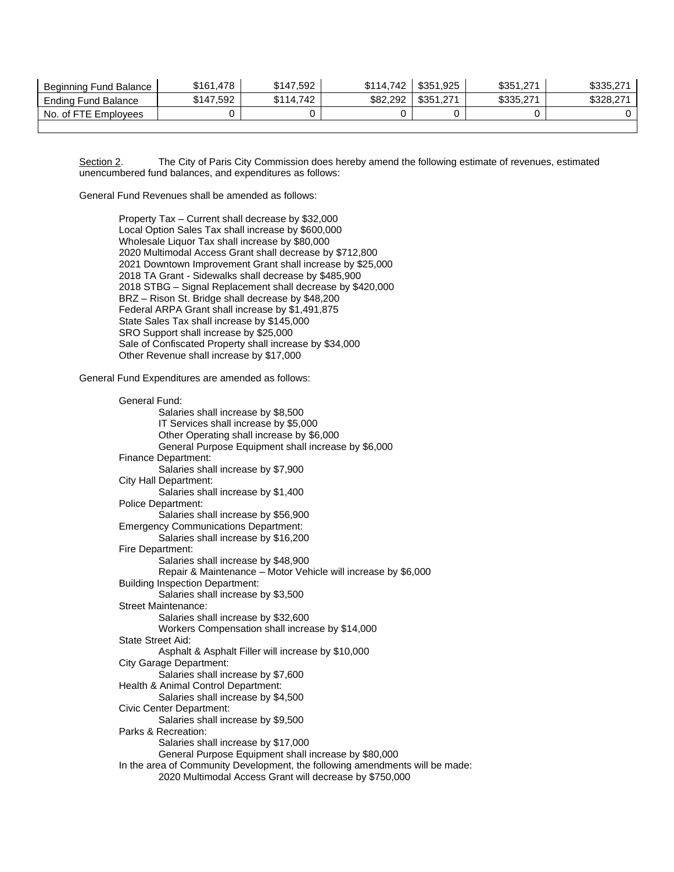| Beginning Fund Balance I | \$161.478 | \$147,592 | \$114.742 | \$351.925 | \$351,271 | \$335,271 |
|--------------------------|-----------|-----------|-----------|-----------|-----------|-----------|
| Ending Fund Balance      | \$147,592 | \$114.742 | \$82,292  | \$351.271 | \$335,271 | \$328,271 |
| No. of FTE Employees     |           |           |           |           |           |           |
|                          |           |           |           |           |           |           |

Section 2. The City of Paris City Commission does hereby amend the following estimate of revenues, estimated unencumbered fund balances, and expenditures as follows:

General Fund Revenues shall be amended as follows:

Property Tax – Current shall decrease by \$32,000 Local Option Sales Tax shall increase by \$600,000 Wholesale Liquor Tax shall increase by \$80,000 2020 Multimodal Access Grant shall decrease by \$712,800 2021 Downtown Improvement Grant shall increase by \$25,000 2018 TA Grant - Sidewalks shall decrease by \$485,900 2018 STBG – Signal Replacement shall decrease by \$420,000 BRZ – Rison St. Bridge shall decrease by \$48,200 Federal ARPA Grant shall increase by \$1,491,875 State Sales Tax shall increase by \$145,000 SRO Support shall increase by \$25,000 Sale of Confiscated Property shall increase by \$34,000 Other Revenue shall increase by \$17,000

General Fund Expenditures are amended as follows:

| General Fund:                                                                |
|------------------------------------------------------------------------------|
| Salaries shall increase by \$8,500                                           |
| IT Services shall increase by \$5,000                                        |
| Other Operating shall increase by \$6,000                                    |
| General Purpose Equipment shall increase by \$6,000                          |
| Finance Department:                                                          |
| Salaries shall increase by \$7,900                                           |
| City Hall Department:                                                        |
| Salaries shall increase by \$1,400                                           |
| <b>Police Department:</b>                                                    |
| Salaries shall increase by \$56,900                                          |
| <b>Emergency Communications Department:</b>                                  |
| Salaries shall increase by \$16,200                                          |
| Fire Department:                                                             |
| Salaries shall increase by \$48,900                                          |
| Repair & Maintenance - Motor Vehicle will increase by \$6,000                |
| <b>Building Inspection Department:</b>                                       |
| Salaries shall increase by \$3,500                                           |
| <b>Street Maintenance:</b>                                                   |
| Salaries shall increase by \$32,600                                          |
| Workers Compensation shall increase by \$14,000                              |
| State Street Aid:                                                            |
| Asphalt & Asphalt Filler will increase by \$10,000                           |
| City Garage Department:                                                      |
| Salaries shall increase by \$7,600                                           |
| Health & Animal Control Department:                                          |
| Salaries shall increase by \$4,500                                           |
| Civic Center Department:                                                     |
| Salaries shall increase by \$9,500                                           |
| Parks & Recreation:                                                          |
| Salaries shall increase by \$17,000                                          |
| General Purpose Equipment shall increase by \$80,000                         |
| In the area of Community Development, the following amendments will be made: |
| 2020 Multimodal Access Grant will decrease by \$750,000                      |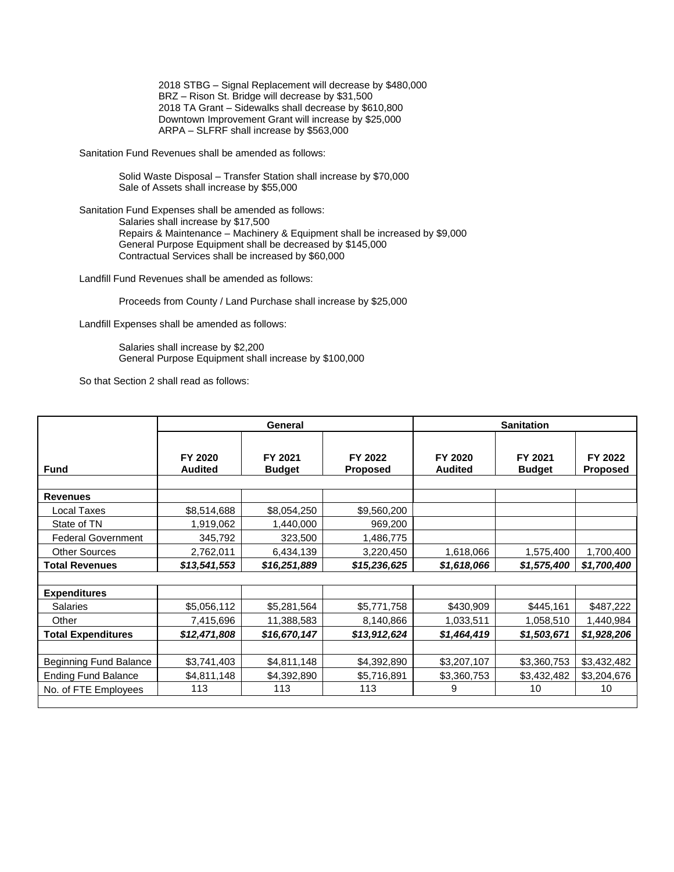2018 STBG – Signal Replacement will decrease by \$480,000 BRZ – Rison St. Bridge will decrease by \$31,500 2018 TA Grant – Sidewalks shall decrease by \$610,800 Downtown Improvement Grant will increase by \$25,000 ARPA – SLFRF shall increase by \$563,000

Sanitation Fund Revenues shall be amended as follows:

Solid Waste Disposal – Transfer Station shall increase by \$70,000 Sale of Assets shall increase by \$55,000

Sanitation Fund Expenses shall be amended as follows: Salaries shall increase by \$17,500 Repairs & Maintenance – Machinery & Equipment shall be increased by \$9,000 General Purpose Equipment shall be decreased by \$145,000 Contractual Services shall be increased by \$60,000

Landfill Fund Revenues shall be amended as follows:

Proceeds from County / Land Purchase shall increase by \$25,000

Landfill Expenses shall be amended as follows:

Salaries shall increase by \$2,200 General Purpose Equipment shall increase by \$100,000

So that Section 2 shall read as follows:

|                            | General                   |                          |                     | <b>Sanitation</b>         |                          |                            |  |
|----------------------------|---------------------------|--------------------------|---------------------|---------------------------|--------------------------|----------------------------|--|
| <b>Fund</b>                | FY 2020<br><b>Audited</b> | FY 2021<br><b>Budget</b> | FY 2022<br>Proposed | FY 2020<br><b>Audited</b> | FY 2021<br><b>Budget</b> | FY 2022<br><b>Proposed</b> |  |
|                            |                           |                          |                     |                           |                          |                            |  |
| <b>Revenues</b>            |                           |                          |                     |                           |                          |                            |  |
| Local Taxes                | \$8,514,688               | \$8,054,250              | \$9,560,200         |                           |                          |                            |  |
| State of TN                | 1,919,062                 | 1,440,000                | 969,200             |                           |                          |                            |  |
| <b>Federal Government</b>  | 345,792                   | 323,500                  | 1,486,775           |                           |                          |                            |  |
| <b>Other Sources</b>       | 2,762,011                 | 6,434,139                | 3,220,450           | 1,618,066                 | 1,575,400                | 1,700,400                  |  |
| <b>Total Revenues</b>      | \$13,541,553              | \$16,251,889             | \$15,236,625        | \$1,618,066               | \$1,575,400              | \$1,700,400                |  |
|                            |                           |                          |                     |                           |                          |                            |  |
| <b>Expenditures</b>        |                           |                          |                     |                           |                          |                            |  |
| <b>Salaries</b>            | \$5,056,112               | \$5,281,564              | \$5,771,758         | \$430,909                 | \$445,161                | \$487,222                  |  |
| Other                      | 7,415,696                 | 11,388,583               | 8,140,866           | 1,033,511                 | 1,058,510                | 1,440,984                  |  |
| <b>Total Expenditures</b>  | \$12,471,808              | \$16,670,147             | \$13,912,624        | \$1,464,419               | \$1,503,671              | \$1,928,206                |  |
|                            |                           |                          |                     |                           |                          |                            |  |
| Beginning Fund Balance     | \$3,741,403               | \$4,811,148              | \$4,392,890         | \$3,207,107               | \$3,360,753              | \$3,432,482                |  |
| <b>Ending Fund Balance</b> | \$4,811,148               | \$4,392,890              | \$5,716,891         | \$3,360,753               | \$3,432,482              | \$3,204,676                |  |
| No. of FTE Employees       | 113                       | 113                      | 113                 | 9                         | 10                       | 10                         |  |
|                            |                           |                          |                     |                           |                          |                            |  |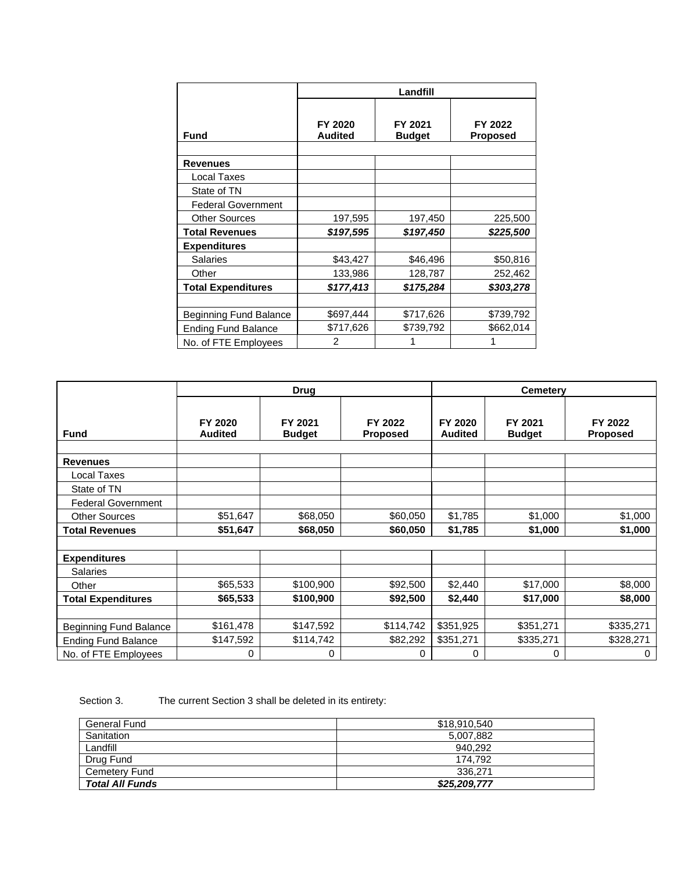|                            | Landfill       |               |                 |  |  |  |  |
|----------------------------|----------------|---------------|-----------------|--|--|--|--|
|                            |                |               |                 |  |  |  |  |
|                            | FY 2020        | FY 2021       | FY 2022         |  |  |  |  |
| <b>Fund</b>                | <b>Audited</b> | <b>Budget</b> | <b>Proposed</b> |  |  |  |  |
|                            |                |               |                 |  |  |  |  |
| <b>Revenues</b>            |                |               |                 |  |  |  |  |
| Local Taxes                |                |               |                 |  |  |  |  |
| State of TN                |                |               |                 |  |  |  |  |
| <b>Federal Government</b>  |                |               |                 |  |  |  |  |
| <b>Other Sources</b>       | 197,595        | 197,450       | 225,500         |  |  |  |  |
| <b>Total Revenues</b>      | \$197,595      | \$197,450     | \$225,500       |  |  |  |  |
| <b>Expenditures</b>        |                |               |                 |  |  |  |  |
| <b>Salaries</b>            | \$43,427       | \$46,496      | \$50,816        |  |  |  |  |
| Other                      | 133,986        | 128,787       | 252,462         |  |  |  |  |
| <b>Total Expenditures</b>  | \$177,413      | \$175,284     | \$303,278       |  |  |  |  |
|                            |                |               |                 |  |  |  |  |
| Beginning Fund Balance     | \$697,444      | \$717,626     | \$739,792       |  |  |  |  |
| <b>Ending Fund Balance</b> | \$717,626      | \$739,792     | \$662,014       |  |  |  |  |
| No. of FTE Employees       | $\mathfrak{p}$ |               |                 |  |  |  |  |

|                               | <b>Drug</b>               |                          |                            | <b>Cemetery</b>           |                          |                            |  |
|-------------------------------|---------------------------|--------------------------|----------------------------|---------------------------|--------------------------|----------------------------|--|
| <b>Fund</b>                   | FY 2020<br><b>Audited</b> | FY 2021<br><b>Budget</b> | FY 2022<br><b>Proposed</b> | FY 2020<br><b>Audited</b> | FY 2021<br><b>Budget</b> | FY 2022<br><b>Proposed</b> |  |
|                               |                           |                          |                            |                           |                          |                            |  |
| <b>Revenues</b>               |                           |                          |                            |                           |                          |                            |  |
| Local Taxes                   |                           |                          |                            |                           |                          |                            |  |
| State of TN                   |                           |                          |                            |                           |                          |                            |  |
| <b>Federal Government</b>     |                           |                          |                            |                           |                          |                            |  |
| <b>Other Sources</b>          | \$51,647                  | \$68,050                 | \$60,050                   | \$1,785                   | \$1,000                  | \$1,000                    |  |
| <b>Total Revenues</b>         | \$51,647                  | \$68,050                 | \$60,050                   | \$1,785                   | \$1,000                  | \$1,000                    |  |
|                               |                           |                          |                            |                           |                          |                            |  |
| <b>Expenditures</b>           |                           |                          |                            |                           |                          |                            |  |
| <b>Salaries</b>               |                           |                          |                            |                           |                          |                            |  |
| Other                         | \$65,533                  | \$100,900                | \$92,500                   | \$2,440                   | \$17,000                 | \$8,000                    |  |
| <b>Total Expenditures</b>     | \$65,533                  | \$100,900                | \$92,500                   | \$2,440                   | \$17,000                 | \$8,000                    |  |
|                               |                           |                          |                            |                           |                          |                            |  |
| <b>Beginning Fund Balance</b> | \$161,478                 | \$147,592                | \$114,742                  | \$351,925                 | \$351,271                | \$335,271                  |  |
| <b>Ending Fund Balance</b>    | \$147,592                 | \$114,742                | \$82,292                   | \$351,271                 | \$335,271                | \$328,271                  |  |
| No. of FTE Employees          | 0                         | 0                        | 0                          | 0                         | 0                        | 0                          |  |

Section 3. The current Section 3 shall be deleted in its entirety:

| General Fund           | \$18,910,540 |
|------------------------|--------------|
| Sanitation             | 5,007,882    |
| Landfill               | 940.292      |
| Drug Fund              | 174.792      |
| Cemetery Fund          | 336.271      |
| <b>Total All Funds</b> | \$25,209,777 |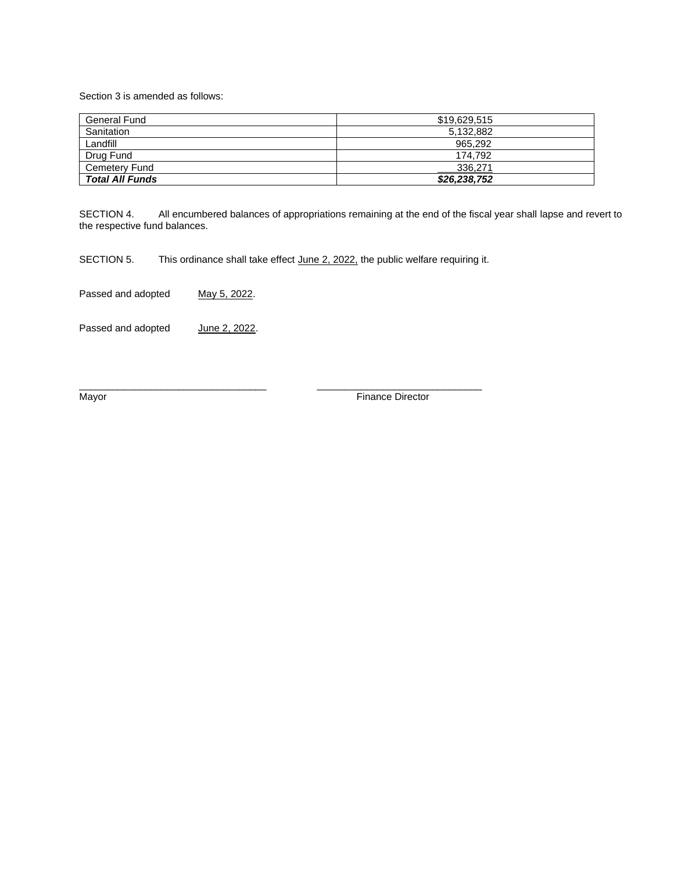Section 3 is amended as follows:

| General Fund           | \$19,629,515 |
|------------------------|--------------|
| Sanitation             | 5,132,882    |
| Landfill               | 965.292      |
| Drug Fund              | 174.792      |
| <b>Cemetery Fund</b>   | 336.271      |
| <b>Total All Funds</b> | \$26,238,752 |

SECTION 4. All encumbered balances of appropriations remaining at the end of the fiscal year shall lapse and revert to the respective fund balances.

SECTION 5. This ordinance shall take effect June 2, 2022, the public welfare requiring it.

 $\frac{1}{2}$  ,  $\frac{1}{2}$  ,  $\frac{1}{2}$  ,  $\frac{1}{2}$  ,  $\frac{1}{2}$  ,  $\frac{1}{2}$  ,  $\frac{1}{2}$  ,  $\frac{1}{2}$  ,  $\frac{1}{2}$  ,  $\frac{1}{2}$  ,  $\frac{1}{2}$  ,  $\frac{1}{2}$  ,  $\frac{1}{2}$  ,  $\frac{1}{2}$  ,  $\frac{1}{2}$  ,  $\frac{1}{2}$  ,  $\frac{1}{2}$  ,  $\frac{1}{2}$  ,  $\frac{1$ 

Passed and adopted May 5, 2022.

Passed and adopted June 2, 2022.

Mayor **Mayor Mayor Mayor Mayor Mayor Mayor Mayor Mayor Mayor Mayor Mayor Mayor Mayor Mayor Mayor Mayor Mayor Mayor Mayor Mayor Mayor Mayor Mayor Mayor Mayor Mayor Mayor**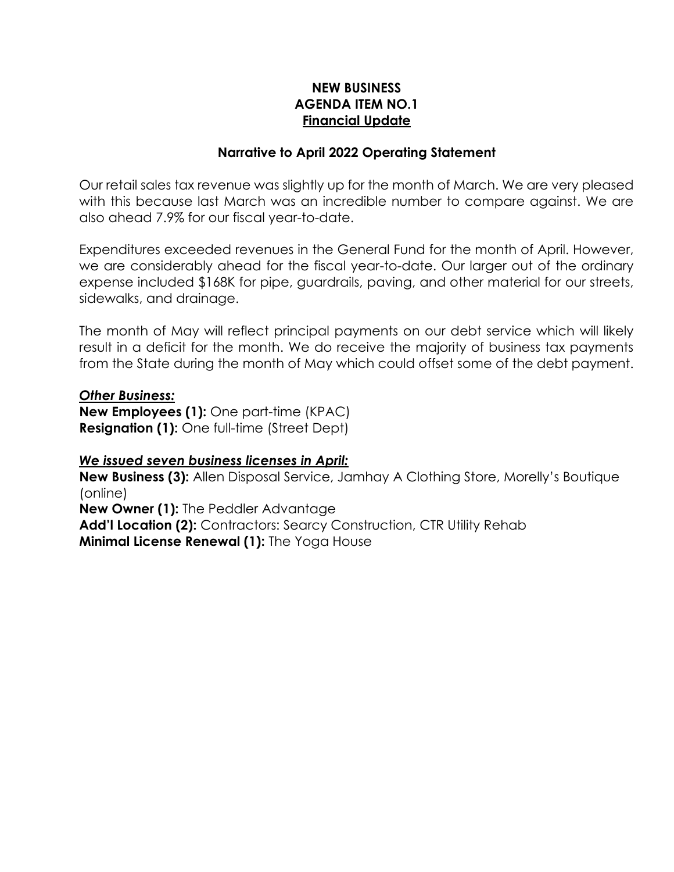# **NEW BUSINESS AGENDA ITEM NO.1 Financial Update**

## **Narrative to April 2022 Operating Statement**

Our retail sales tax revenue was slightly up for the month of March. We are very pleased with this because last March was an incredible number to compare against. We are also ahead 7.9% for our fiscal year-to-date.

Expenditures exceeded revenues in the General Fund for the month of April. However, we are considerably ahead for the fiscal year-to-date. Our larger out of the ordinary expense included \$168K for pipe, guardrails, paving, and other material for our streets, sidewalks, and drainage.

The month of May will reflect principal payments on our debt service which will likely result in a deficit for the month. We do receive the majority of business tax payments from the State during the month of May which could offset some of the debt payment.

### *Other Business:*

**New Employees (1):** One part-time (KPAC) **Resignation (1):** One full-time (Street Dept)

### *We issued seven business licenses in April:*

**New Business (3):** Allen Disposal Service, Jamhay A Clothing Store, Morelly's Boutique (online)

**New Owner (1):** The Peddler Advantage

Add'l Location (2): Contractors: Searcy Construction, CTR Utility Rehab **Minimal License Renewal (1):** The Yoga House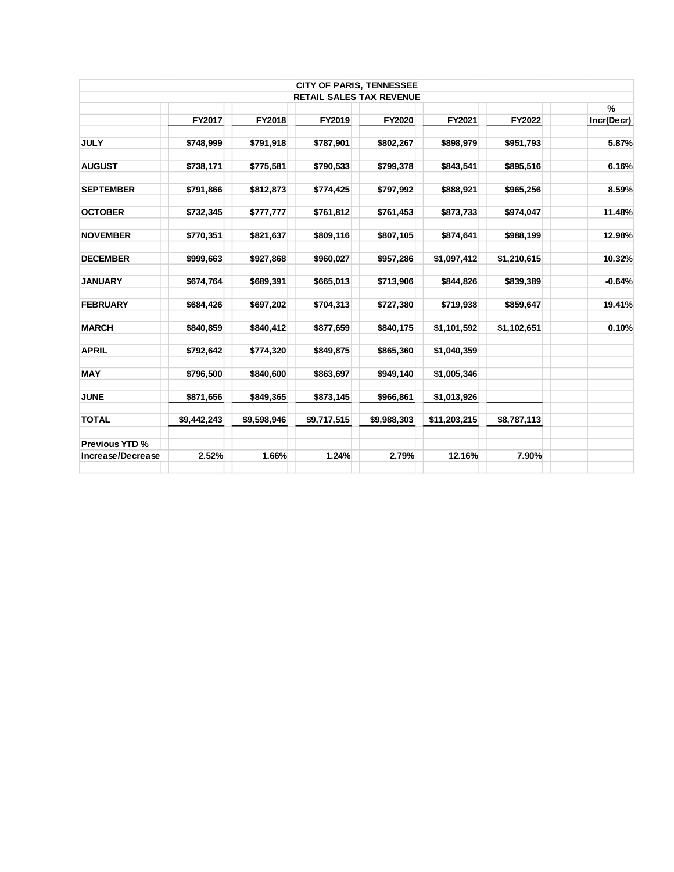|             |             |             |             |                                 |                                 | $\frac{9}{6}$ |
|-------------|-------------|-------------|-------------|---------------------------------|---------------------------------|---------------|
| FY2017      | FY2018      | FY2019      | FY2020      | FY2021                          | FY2022                          | Incr(Decr)    |
| \$748,999   | \$791,918   | \$787,901   | \$802,267   | \$898,979                       | \$951,793                       | 5.87%         |
| \$738,171   | \$775,581   | \$790,533   | \$799,378   | \$843,541                       | \$895,516                       | 6.16%         |
| \$791,866   | \$812,873   | \$774,425   | \$797,992   | \$888,921                       | \$965,256                       | 8.59%         |
| \$732,345   | \$777,777   | \$761,812   | \$761,453   | \$873,733                       | \$974,047                       | 11.48%        |
| \$770,351   | \$821,637   | \$809,116   | \$807,105   | \$874,641                       | \$988,199                       | 12.98%        |
| \$999,663   | \$927,868   | \$960,027   | \$957,286   | \$1,097,412                     | \$1,210,615                     | 10.32%        |
| \$674,764   | \$689,391   | \$665,013   | \$713,906   | \$844,826                       | \$839,389                       | $-0.64%$      |
| \$684,426   | \$697,202   | \$704,313   | \$727,380   | \$719,938                       | \$859,647                       | 19.41%        |
| \$840,859   | \$840,412   | \$877,659   | \$840,175   | \$1,101,592                     | \$1,102,651                     | 0.10%         |
| \$792,642   | \$774,320   | \$849,875   | \$865,360   | \$1,040,359                     |                                 |               |
| \$796,500   | \$840,600   | \$863,697   | \$949,140   | \$1,005,346                     |                                 |               |
| \$871,656   | \$849,365   | \$873,145   | \$966,861   | \$1,013,926                     |                                 |               |
| \$9,442,243 | \$9,598,946 | \$9,717,515 | \$9,988,303 | \$11,203,215                    | \$8,787,113                     |               |
|             |             |             |             |                                 |                                 |               |
| 2.52%       | 1.66%       | 1.24%       | 2.79%       | 12.16%                          | 7.90%                           |               |
|             |             |             |             | <b>CITY OF PARIS, TENNESSEE</b> | <b>RETAIL SALES TAX REVENUE</b> |               |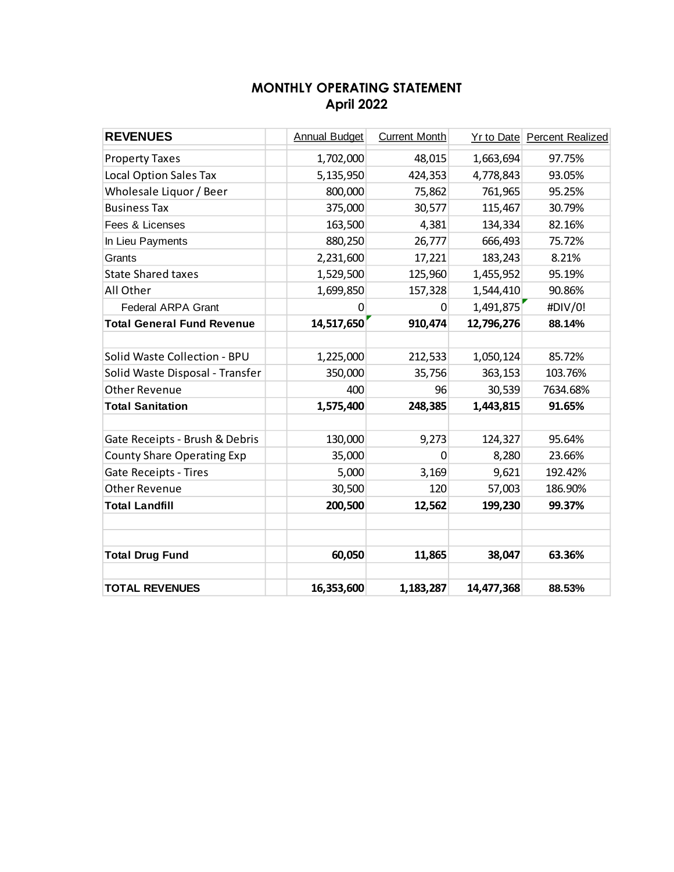# **MONTHLY OPERATING STATEMENT April 2022**

| <b>REVENUES</b>                   | <b>Annual Budget</b> | <b>Current Month</b> |            | <b>Yr to Date Percent Realized</b> |
|-----------------------------------|----------------------|----------------------|------------|------------------------------------|
| <b>Property Taxes</b>             | 1,702,000            | 48,015               | 1,663,694  | 97.75%                             |
| <b>Local Option Sales Tax</b>     | 5,135,950            | 424,353              | 4,778,843  | 93.05%                             |
| Wholesale Liquor / Beer           | 800,000              | 75,862               | 761,965    | 95.25%                             |
| <b>Business Tax</b>               | 375,000              | 30,577               | 115,467    | 30.79%                             |
| Fees & Licenses                   | 163,500              | 4,381                | 134,334    | 82.16%                             |
| In Lieu Payments                  | 880,250              | 26,777               | 666,493    | 75.72%                             |
| Grants                            | 2,231,600            | 17,221               | 183,243    | 8.21%                              |
| <b>State Shared taxes</b>         | 1,529,500            | 125,960              | 1,455,952  | 95.19%                             |
| All Other                         | 1,699,850            | 157,328              | 1,544,410  | 90.86%                             |
| <b>Federal ARPA Grant</b>         | $\mathbf{0}$         | 0                    | 1,491,875  | #DIV/0!                            |
| <b>Total General Fund Revenue</b> | 14,517,650           | 910,474              | 12,796,276 | 88.14%                             |
|                                   |                      |                      |            |                                    |
| Solid Waste Collection - BPU      | 1,225,000            | 212,533              | 1,050,124  | 85.72%                             |
| Solid Waste Disposal - Transfer   | 350,000              | 35,756               | 363,153    | 103.76%                            |
| <b>Other Revenue</b>              | 400                  | 96                   | 30,539     | 7634.68%                           |
| <b>Total Sanitation</b>           | 1,575,400            | 248,385              | 1,443,815  | 91.65%                             |
|                                   |                      |                      |            |                                    |
| Gate Receipts - Brush & Debris    | 130,000              | 9,273                | 124,327    | 95.64%                             |
| <b>County Share Operating Exp</b> | 35,000               | $\Omega$             | 8,280      | 23.66%                             |
| <b>Gate Receipts - Tires</b>      | 5,000                | 3,169                | 9,621      | 192.42%                            |
| <b>Other Revenue</b>              | 30,500               | 120                  | 57,003     | 186.90%                            |
| <b>Total Landfill</b>             | 200,500              | 12,562               | 199,230    | 99.37%                             |
|                                   |                      |                      |            |                                    |
|                                   |                      |                      |            |                                    |
| <b>Total Drug Fund</b>            | 60,050               | 11,865               | 38,047     | 63.36%                             |
| <b>TOTAL REVENUES</b>             | 16,353,600           | 1,183,287            | 14,477,368 | 88.53%                             |
|                                   |                      |                      |            |                                    |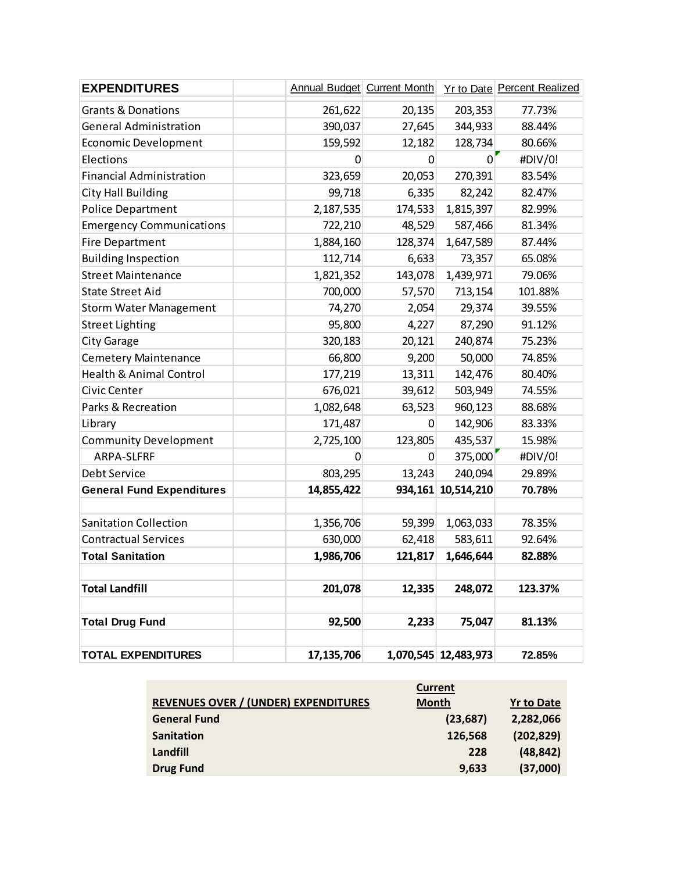| <b>EXPENDITURES</b>                |            | <b>Annual Budget Current Month</b> |                      | Yr to Date Percent Realized |
|------------------------------------|------------|------------------------------------|----------------------|-----------------------------|
| <b>Grants &amp; Donations</b>      | 261,622    | 20,135                             | 203,353              | 77.73%                      |
| <b>General Administration</b>      | 390,037    | 27,645                             | 344,933              | 88.44%                      |
| <b>Economic Development</b>        | 159,592    | 12,182                             | 128,734              | 80.66%                      |
| Elections                          | 0          | 0                                  | $\Omega$             | #DIV/0!                     |
| <b>Financial Administration</b>    | 323,659    | 20,053                             | 270,391              | 83.54%                      |
| <b>City Hall Building</b>          | 99,718     | 6,335                              | 82,242               | 82.47%                      |
| <b>Police Department</b>           | 2,187,535  | 174,533                            | 1,815,397            | 82.99%                      |
| <b>Emergency Communications</b>    | 722,210    | 48,529                             | 587,466              | 81.34%                      |
| <b>Fire Department</b>             | 1,884,160  | 128,374                            | 1,647,589            | 87.44%                      |
| <b>Building Inspection</b>         | 112,714    | 6,633                              | 73,357               | 65.08%                      |
| <b>Street Maintenance</b>          | 1,821,352  | 143,078                            | 1,439,971            | 79.06%                      |
| <b>State Street Aid</b>            | 700,000    | 57,570                             | 713,154              | 101.88%                     |
| <b>Storm Water Management</b>      | 74,270     | 2,054                              | 29,374               | 39.55%                      |
| <b>Street Lighting</b>             | 95,800     | 4,227                              | 87,290               | 91.12%                      |
| <b>City Garage</b>                 | 320,183    | 20,121                             | 240,874              | 75.23%                      |
| <b>Cemetery Maintenance</b>        | 66,800     | 9,200                              | 50,000               | 74.85%                      |
| <b>Health &amp; Animal Control</b> | 177,219    | 13,311                             | 142,476              | 80.40%                      |
| Civic Center                       | 676,021    | 39,612                             | 503,949              | 74.55%                      |
| Parks & Recreation                 | 1,082,648  | 63,523                             | 960,123              | 88.68%                      |
| Library                            | 171,487    | 0                                  | 142,906              | 83.33%                      |
| <b>Community Development</b>       | 2,725,100  | 123,805                            | 435,537              | 15.98%                      |
| ARPA-SLFRF                         | 0          | 0                                  | 375,000              | #DIV/0!                     |
| Debt Service                       | 803,295    | 13,243                             | 240,094              | 29.89%                      |
| <b>General Fund Expenditures</b>   | 14,855,422 | 934,161                            | 10,514,210           | 70.78%                      |
|                                    |            |                                    |                      |                             |
| <b>Sanitation Collection</b>       | 1,356,706  | 59,399                             | 1,063,033            | 78.35%                      |
| <b>Contractual Services</b>        | 630,000    | 62,418                             | 583,611              | 92.64%                      |
| <b>Total Sanitation</b>            | 1,986,706  | 121,817                            | 1,646,644            | 82.88%                      |
|                                    |            |                                    |                      |                             |
| <b>Total Landfill</b>              | 201,078    | 12,335                             | 248,072              | 123.37%                     |
|                                    |            |                                    |                      |                             |
| <b>Total Drug Fund</b>             | 92,500     | 2,233                              | 75,047               | 81.13%                      |
|                                    |            |                                    |                      |                             |
| <b>TOTAL EXPENDITURES</b>          | 17,135,706 |                                    | 1,070,545 12,483,973 | 72.85%                      |

|                                             | <b>Current</b> |                   |
|---------------------------------------------|----------------|-------------------|
| <b>REVENUES OVER / (UNDER) EXPENDITURES</b> | <b>Month</b>   | <b>Yr to Date</b> |
| <b>General Fund</b>                         | (23, 687)      | 2,282,066         |
| <b>Sanitation</b>                           | 126,568        | (202, 829)        |
| Landfill                                    | 228            | (48, 842)         |
| <b>Drug Fund</b>                            | 9,633          | (37,000)          |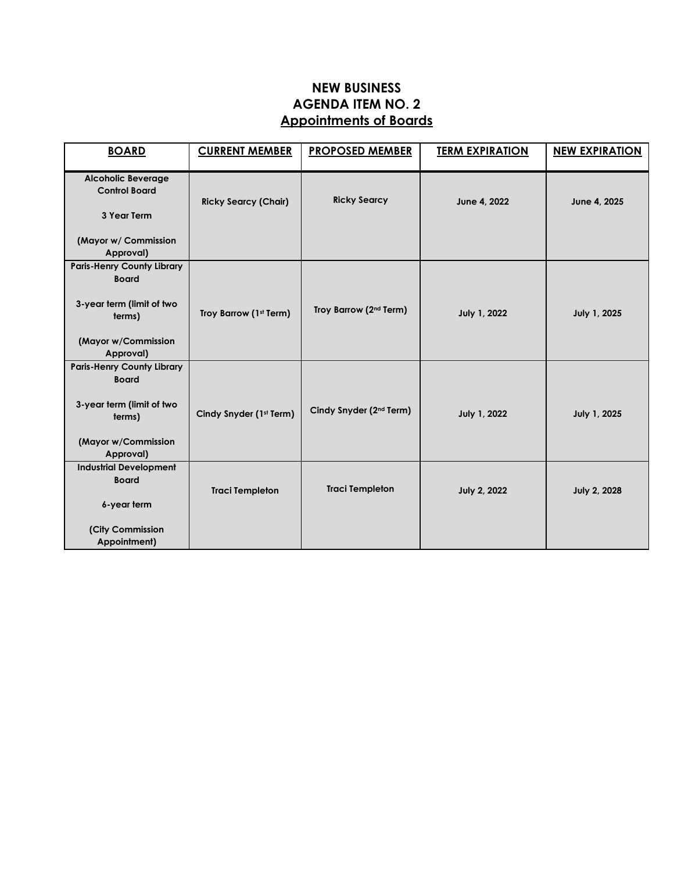# **NEW BUSINESS AGENDA ITEM NO. 2 Appointments of Boards**

| <b>BOARD</b>                                                                                                                 | <b>CURRENT MEMBER</b>       | <b>PROPOSED MEMBER</b>              | <b>TERM EXPIRATION</b> | <b>NEW EXPIRATION</b> |
|------------------------------------------------------------------------------------------------------------------------------|-----------------------------|-------------------------------------|------------------------|-----------------------|
| <b>Alcoholic Beverage</b><br><b>Control Board</b><br>3 Year Term                                                             | <b>Ricky Searcy (Chair)</b> | <b>Ricky Searcy</b>                 | June 4, 2022           | June 4, 2025          |
| (Mayor w/ Commission<br>Approval)                                                                                            |                             |                                     |                        |                       |
| <b>Paris-Henry County Library</b><br><b>Board</b><br>3-year term (limit of two<br>terms)<br>(Mayor w/Commission<br>Approval) | Troy Barrow (1st Term)      | Troy Barrow (2 <sup>nd</sup> Term)  | July 1, 2022           | July 1, 2025          |
| <b>Paris-Henry County Library</b><br><b>Board</b><br>3-year term (limit of two<br>terms)<br>(Mayor w/Commission<br>Approval) | Cindy Snyder (1st Term)     | Cindy Snyder (2 <sup>nd</sup> Term) | July 1, 2022           | July 1, 2025          |
| <b>Industrial Development</b><br><b>Board</b><br>6-year term                                                                 | <b>Traci Templeton</b>      | <b>Traci Templeton</b>              | <b>July 2, 2022</b>    | <b>July 2, 2028</b>   |
| (City Commission<br>Appointment)                                                                                             |                             |                                     |                        |                       |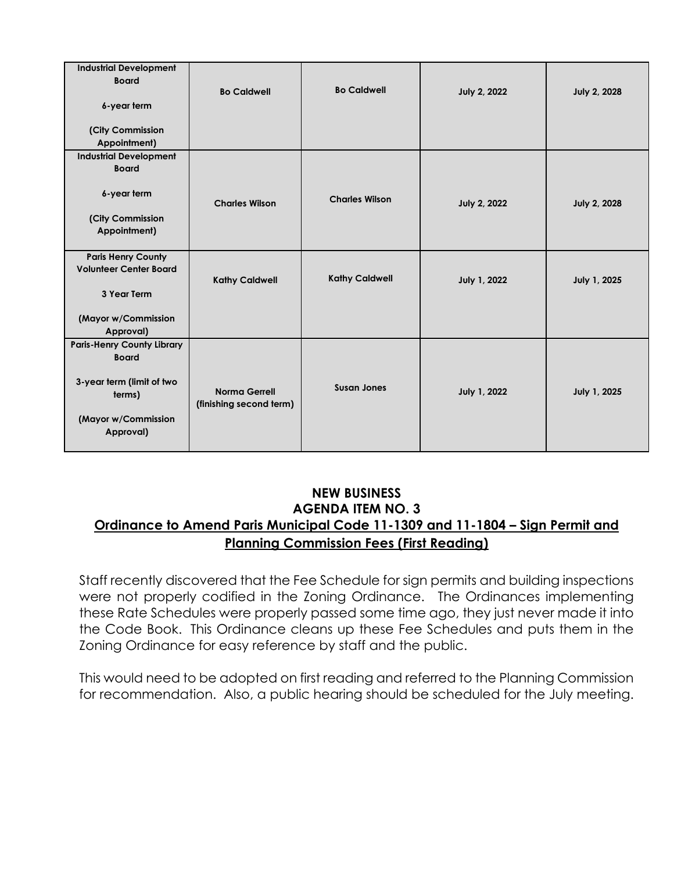| <b>Industrial Development</b><br><b>Board</b>              | <b>Bo Caldwell</b>                              | <b>Bo Caldwell</b>    | <b>July 2, 2022</b> | <b>July 2, 2028</b> |
|------------------------------------------------------------|-------------------------------------------------|-----------------------|---------------------|---------------------|
| 6-year term                                                |                                                 |                       |                     |                     |
| (City Commission<br>Appointment)                           |                                                 |                       |                     |                     |
| <b>Industrial Development</b><br><b>Board</b>              |                                                 |                       |                     |                     |
| 6-year term                                                | <b>Charles Wilson</b>                           | <b>Charles Wilson</b> | <b>July 2, 2022</b> | <b>July 2, 2028</b> |
| (City Commission<br>Appointment)                           |                                                 |                       |                     |                     |
| <b>Paris Henry County</b><br><b>Volunteer Center Board</b> | <b>Kathy Caldwell</b>                           | <b>Kathy Caldwell</b> | July 1, 2022        | July 1, 2025        |
| 3 Year Term                                                |                                                 |                       |                     |                     |
| (Mayor w/Commission<br>Approval)                           |                                                 |                       |                     |                     |
| <b>Paris-Henry County Library</b><br><b>Board</b>          |                                                 |                       |                     |                     |
| 3-year term (limit of two<br>terms)                        | <b>Norma Gerrell</b><br>(finishing second term) | <b>Susan Jones</b>    | July 1, 2022        | July 1, 2025        |
| (Mayor w/Commission<br>Approval)                           |                                                 |                       |                     |                     |

## **NEW BUSINESS AGENDA ITEM NO. 3 Ordinance to Amend Paris Municipal Code 11-1309 and 11-1804 – Sign Permit and Planning Commission Fees (First Reading)**

Staff recently discovered that the Fee Schedule for sign permits and building inspections were not properly codified in the Zoning Ordinance. The Ordinances implementing these Rate Schedules were properly passed some time ago, they just never made it into the Code Book. This Ordinance cleans up these Fee Schedules and puts them in the Zoning Ordinance for easy reference by staff and the public.

This would need to be adopted on first reading and referred to the Planning Commission for recommendation. Also, a public hearing should be scheduled for the July meeting.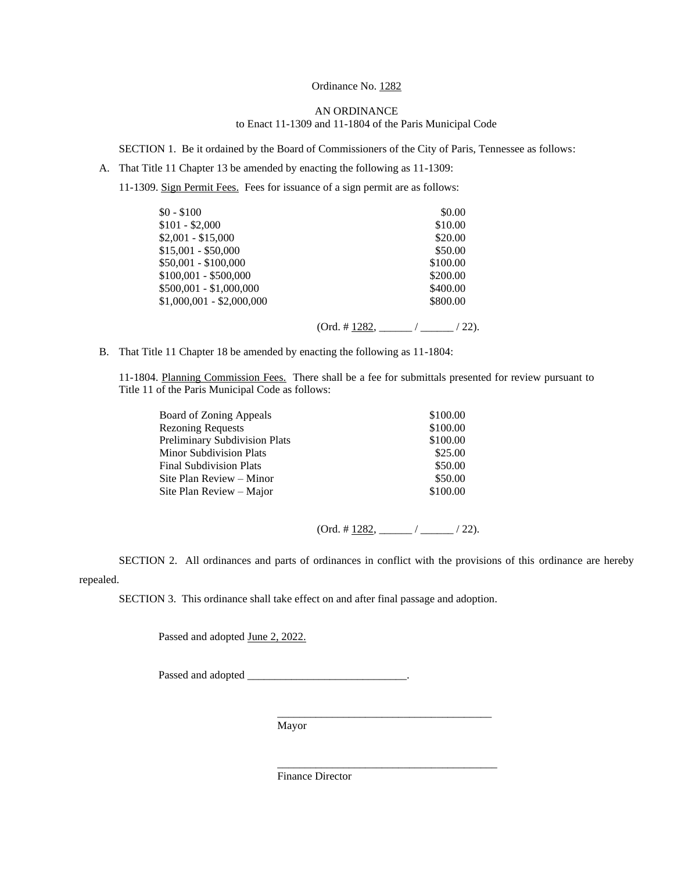#### Ordinance No. 1282

#### AN ORDINANCE to Enact 11-1309 and 11-1804 of the Paris Municipal Code

SECTION 1. Be it ordained by the Board of Commissioners of the City of Paris, Tennessee as follows:

A. That Title 11 Chapter 13 be amended by enacting the following as 11-1309:

11-1309. Sign Permit Fees. Fees for issuance of a sign permit are as follows:

| $$0 - $100$               |                    | \$0.00   |
|---------------------------|--------------------|----------|
| $$101 - $2,000$           |                    | \$10.00  |
| $$2,001 - $15,000$        |                    | \$20.00  |
| $$15,001 - $50,000$       |                    | \$50.00  |
| \$50,001 - \$100,000      |                    | \$100.00 |
| \$100,001 - \$500,000     |                    | \$200.00 |
| \$500,001 - \$1,000,000   |                    | \$400.00 |
| $$1,000,001 - $2,000,000$ |                    | \$800.00 |
|                           | $(Ord. \# 1282, )$ | 22).     |

B. That Title 11 Chapter 18 be amended by enacting the following as 11-1804:

11-1804. Planning Commission Fees. There shall be a fee for submittals presented for review pursuant to Title 11 of the Paris Municipal Code as follows:

| Board of Zoning Appeals              | \$100.00 |
|--------------------------------------|----------|
| <b>Rezoning Requests</b>             | \$100.00 |
| <b>Preliminary Subdivision Plats</b> | \$100.00 |
| Minor Subdivision Plats              | \$25.00  |
| Final Subdivision Plats              | \$50.00  |
| Site Plan Review – Minor             | \$50.00  |
| Site Plan Review – Major             | \$100.00 |
|                                      |          |

 $(Ord. # 1282, __________/ 22).$ 

\_\_\_\_\_\_\_\_\_\_\_\_\_\_\_\_\_\_\_\_\_\_\_\_\_\_\_\_\_\_\_\_\_\_\_\_\_\_\_\_

SECTION 2. All ordinances and parts of ordinances in conflict with the provisions of this ordinance are hereby repealed.

SECTION 3. This ordinance shall take effect on and after final passage and adoption.

Passed and adopted June 2, 2022.

Passed and adopted \_\_\_\_\_\_\_\_\_\_\_\_\_\_\_\_\_\_\_\_\_\_\_\_\_\_\_\_\_\_\_\_\_\_.

 $\frac{1}{2}$  , and the set of the set of the set of the set of the set of the set of the set of the set of the set of the set of the set of the set of the set of the set of the set of the set of the set of the set of the set Mayor

Finance Director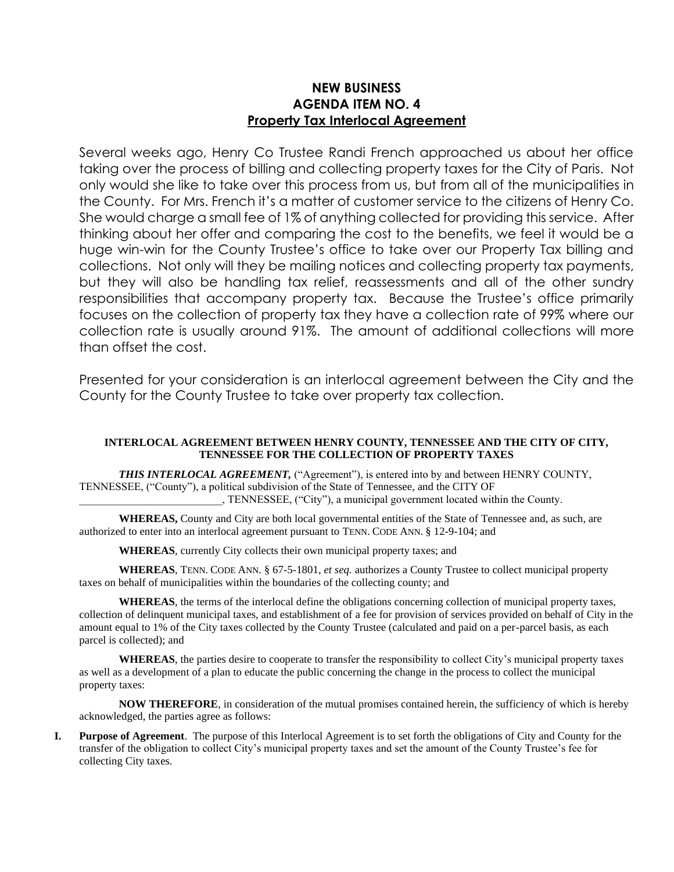### **NEW BUSINESS AGENDA ITEM NO. 4 Property Tax Interlocal Agreement**

Several weeks ago, Henry Co Trustee Randi French approached us about her office taking over the process of billing and collecting property taxes for the City of Paris. Not only would she like to take over this process from us, but from all of the municipalities in the County. For Mrs. French it's a matter of customer service to the citizens of Henry Co. She would charge a small fee of 1% of anything collected for providing this service. After thinking about her offer and comparing the cost to the benefits, we feel it would be a huge win-win for the County Trustee's office to take over our Property Tax billing and collections. Not only will they be mailing notices and collecting property tax payments, but they will also be handling tax relief, reassessments and all of the other sundry responsibilities that accompany property tax. Because the Trustee's office primarily focuses on the collection of property tax they have a collection rate of 99% where our collection rate is usually around 91%. The amount of additional collections will more than offset the cost.

Presented for your consideration is an interlocal agreement between the City and the County for the County Trustee to take over property tax collection.

#### **INTERLOCAL AGREEMENT BETWEEN HENRY COUNTY, TENNESSEE AND THE CITY OF CITY, TENNESSEE FOR THE COLLECTION OF PROPERTY TAXES**

**THIS INTERLOCAL AGREEMENT,** ("Agreement"), is entered into by and between HENRY COUNTY, TENNESSEE, ("County"), a political subdivision of the State of Tennessee, and the CITY OF \_\_\_\_\_\_\_\_\_\_\_\_\_\_\_\_\_\_\_\_\_\_\_\_\_\_, TENNESSEE, ("City"), a municipal government located within the County.

**WHEREAS,** County and City are both local governmental entities of the State of Tennessee and, as such, are authorized to enter into an interlocal agreement pursuant to TENN. CODE ANN. § 12-9-104; and

**WHEREAS**, currently City collects their own municipal property taxes; and

**WHEREAS**, TENN. CODE ANN. § 67-5-1801, *et seq.* authorizes a County Trustee to collect municipal property taxes on behalf of municipalities within the boundaries of the collecting county; and

**WHEREAS**, the terms of the interlocal define the obligations concerning collection of municipal property taxes, collection of delinquent municipal taxes, and establishment of a fee for provision of services provided on behalf of City in the amount equal to 1% of the City taxes collected by the County Trustee (calculated and paid on a per-parcel basis, as each parcel is collected); and

**WHEREAS**, the parties desire to cooperate to transfer the responsibility to collect City's municipal property taxes as well as a development of a plan to educate the public concerning the change in the process to collect the municipal property taxes:

**NOW THEREFORE**, in consideration of the mutual promises contained herein, the sufficiency of which is hereby acknowledged, the parties agree as follows:

**I. Purpose of Agreement**. The purpose of this Interlocal Agreement is to set forth the obligations of City and County for the transfer of the obligation to collect City's municipal property taxes and set the amount of the County Trustee's fee for collecting City taxes.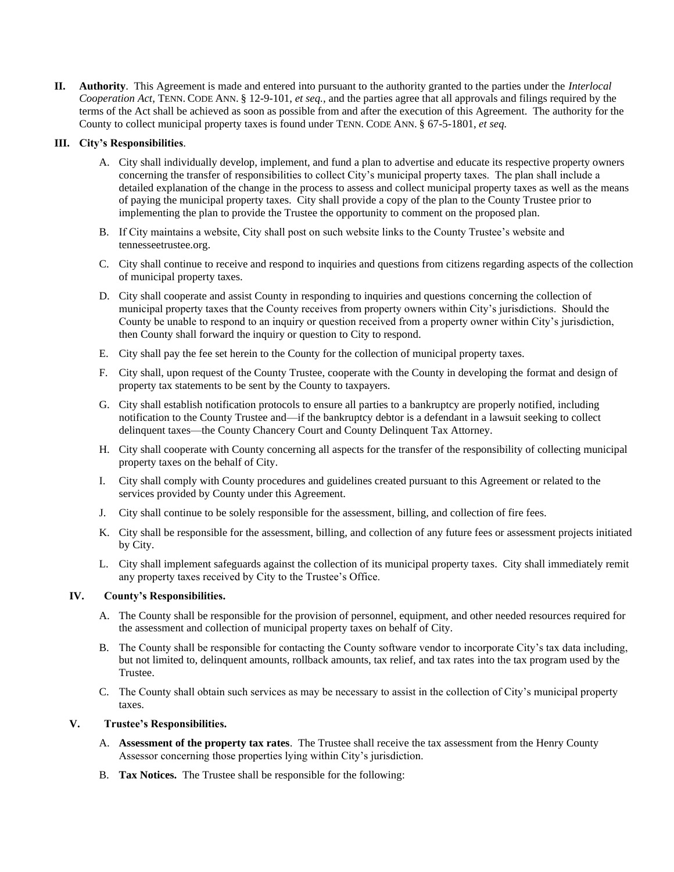**II. Authority**. This Agreement is made and entered into pursuant to the authority granted to the parties under the *Interlocal Cooperation Act*, TENN. CODE ANN. § 12-9-101, *et seq.*, and the parties agree that all approvals and filings required by the terms of the Act shall be achieved as soon as possible from and after the execution of this Agreement. The authority for the County to collect municipal property taxes is found under TENN. CODE ANN. § 67-5-1801, *et seq.*

#### **III. City's Responsibilities**.

- A. City shall individually develop, implement, and fund a plan to advertise and educate its respective property owners concerning the transfer of responsibilities to collect City's municipal property taxes. The plan shall include a detailed explanation of the change in the process to assess and collect municipal property taxes as well as the means of paying the municipal property taxes. City shall provide a copy of the plan to the County Trustee prior to implementing the plan to provide the Trustee the opportunity to comment on the proposed plan.
- B. If City maintains a website, City shall post on such website links to the County Trustee's website and tennesseetrustee.org.
- C. City shall continue to receive and respond to inquiries and questions from citizens regarding aspects of the collection of municipal property taxes.
- D. City shall cooperate and assist County in responding to inquiries and questions concerning the collection of municipal property taxes that the County receives from property owners within City's jurisdictions. Should the County be unable to respond to an inquiry or question received from a property owner within City's jurisdiction, then County shall forward the inquiry or question to City to respond.
- E. City shall pay the fee set herein to the County for the collection of municipal property taxes.
- F. City shall, upon request of the County Trustee, cooperate with the County in developing the format and design of property tax statements to be sent by the County to taxpayers.
- G. City shall establish notification protocols to ensure all parties to a bankruptcy are properly notified, including notification to the County Trustee and—if the bankruptcy debtor is a defendant in a lawsuit seeking to collect delinquent taxes—the County Chancery Court and County Delinquent Tax Attorney.
- H. City shall cooperate with County concerning all aspects for the transfer of the responsibility of collecting municipal property taxes on the behalf of City.
- I. City shall comply with County procedures and guidelines created pursuant to this Agreement or related to the services provided by County under this Agreement.
- J. City shall continue to be solely responsible for the assessment, billing, and collection of fire fees.
- K. City shall be responsible for the assessment, billing, and collection of any future fees or assessment projects initiated by City.
- L. City shall implement safeguards against the collection of its municipal property taxes. City shall immediately remit any property taxes received by City to the Trustee's Office.

#### **IV. County's Responsibilities.**

- A. The County shall be responsible for the provision of personnel, equipment, and other needed resources required for the assessment and collection of municipal property taxes on behalf of City.
- B. The County shall be responsible for contacting the County software vendor to incorporate City's tax data including, but not limited to, delinquent amounts, rollback amounts, tax relief, and tax rates into the tax program used by the Trustee.
- C. The County shall obtain such services as may be necessary to assist in the collection of City's municipal property taxes.

#### **V. Trustee's Responsibilities.**

- A. **Assessment of the property tax rates**. The Trustee shall receive the tax assessment from the Henry County Assessor concerning those properties lying within City's jurisdiction.
- B. **Tax Notices.** The Trustee shall be responsible for the following: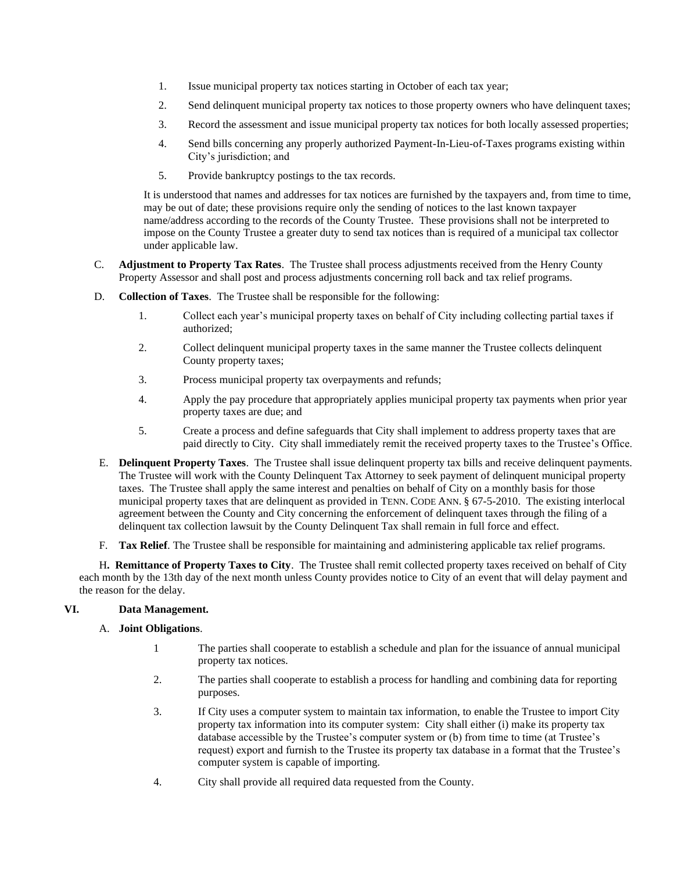- 1. Issue municipal property tax notices starting in October of each tax year;
- 2. Send delinquent municipal property tax notices to those property owners who have delinquent taxes;
- 3. Record the assessment and issue municipal property tax notices for both locally assessed properties;
- 4. Send bills concerning any properly authorized Payment-In-Lieu-of-Taxes programs existing within City's jurisdiction; and
- 5. Provide bankruptcy postings to the tax records.

It is understood that names and addresses for tax notices are furnished by the taxpayers and, from time to time, may be out of date; these provisions require only the sending of notices to the last known taxpayer name/address according to the records of the County Trustee. These provisions shall not be interpreted to impose on the County Trustee a greater duty to send tax notices than is required of a municipal tax collector under applicable law.

- C. **Adjustment to Property Tax Rates**. The Trustee shall process adjustments received from the Henry County Property Assessor and shall post and process adjustments concerning roll back and tax relief programs.
- D. **Collection of Taxes**. The Trustee shall be responsible for the following:
	- 1. Collect each year's municipal property taxes on behalf of City including collecting partial taxes if authorized;
	- 2. Collect delinquent municipal property taxes in the same manner the Trustee collects delinquent County property taxes;
	- 3. Process municipal property tax overpayments and refunds;
	- 4. Apply the pay procedure that appropriately applies municipal property tax payments when prior year property taxes are due; and
	- 5. Create a process and define safeguards that City shall implement to address property taxes that are paid directly to City. City shall immediately remit the received property taxes to the Trustee's Office.
- E. **Delinquent Property Taxes**. The Trustee shall issue delinquent property tax bills and receive delinquent payments. The Trustee will work with the County Delinquent Tax Attorney to seek payment of delinquent municipal property taxes. The Trustee shall apply the same interest and penalties on behalf of City on a monthly basis for those municipal property taxes that are delinquent as provided in TENN. CODE ANN. § 67-5-2010. The existing interlocal agreement between the County and City concerning the enforcement of delinquent taxes through the filing of a delinquent tax collection lawsuit by the County Delinquent Tax shall remain in full force and effect.
- F. **Tax Relief**. The Trustee shall be responsible for maintaining and administering applicable tax relief programs.

H**. Remittance of Property Taxes to City**. The Trustee shall remit collected property taxes received on behalf of City each month by the 13th day of the next month unless County provides notice to City of an event that will delay payment and the reason for the delay.

#### **VI. Data Management.**

- A. **Joint Obligations**.
	- 1 The parties shall cooperate to establish a schedule and plan for the issuance of annual municipal property tax notices.
	- 2. The parties shall cooperate to establish a process for handling and combining data for reporting purposes.
	- 3. If City uses a computer system to maintain tax information, to enable the Trustee to import City property tax information into its computer system: City shall either (i) make its property tax database accessible by the Trustee's computer system or (b) from time to time (at Trustee's request) export and furnish to the Trustee its property tax database in a format that the Trustee's computer system is capable of importing.
	- 4. City shall provide all required data requested from the County.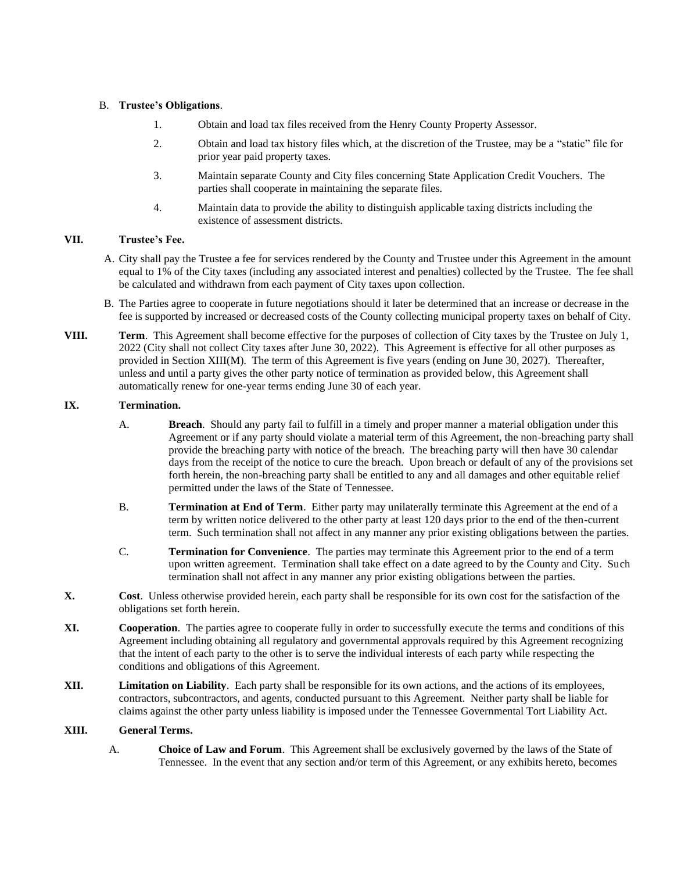#### B. **Trustee's Obligations**.

- 1. Obtain and load tax files received from the Henry County Property Assessor.
- 2. Obtain and load tax history files which, at the discretion of the Trustee, may be a "static" file for prior year paid property taxes.
- 3. Maintain separate County and City files concerning State Application Credit Vouchers. The parties shall cooperate in maintaining the separate files.
- 4. Maintain data to provide the ability to distinguish applicable taxing districts including the existence of assessment districts.

#### **VII. Trustee's Fee.**

- A. City shall pay the Trustee a fee for services rendered by the County and Trustee under this Agreement in the amount equal to 1% of the City taxes (including any associated interest and penalties) collected by the Trustee. The fee shall be calculated and withdrawn from each payment of City taxes upon collection.
- B. The Parties agree to cooperate in future negotiations should it later be determined that an increase or decrease in the fee is supported by increased or decreased costs of the County collecting municipal property taxes on behalf of City.
- **VIII. Term**. This Agreement shall become effective for the purposes of collection of City taxes by the Trustee on July 1, 2022 (City shall not collect City taxes after June 30, 2022). This Agreement is effective for all other purposes as provided in Section XIII(M). The term of this Agreement is five years (ending on June 30, 2027). Thereafter, unless and until a party gives the other party notice of termination as provided below, this Agreement shall automatically renew for one-year terms ending June 30 of each year.

#### **IX. Termination.**

- A. **Breach**. Should any party fail to fulfill in a timely and proper manner a material obligation under this Agreement or if any party should violate a material term of this Agreement, the non-breaching party shall provide the breaching party with notice of the breach. The breaching party will then have 30 calendar days from the receipt of the notice to cure the breach. Upon breach or default of any of the provisions set forth herein, the non-breaching party shall be entitled to any and all damages and other equitable relief permitted under the laws of the State of Tennessee.
- B. **Termination at End of Term**. Either party may unilaterally terminate this Agreement at the end of a term by written notice delivered to the other party at least 120 days prior to the end of the then-current term. Such termination shall not affect in any manner any prior existing obligations between the parties.
- C. **Termination for Convenience**. The parties may terminate this Agreement prior to the end of a term upon written agreement. Termination shall take effect on a date agreed to by the County and City. Such termination shall not affect in any manner any prior existing obligations between the parties.
- **X. Cost**. Unless otherwise provided herein, each party shall be responsible for its own cost for the satisfaction of the obligations set forth herein.
- **XI. Cooperation**. The parties agree to cooperate fully in order to successfully execute the terms and conditions of this Agreement including obtaining all regulatory and governmental approvals required by this Agreement recognizing that the intent of each party to the other is to serve the individual interests of each party while respecting the conditions and obligations of this Agreement.
- **XII. Limitation on Liability**. Each party shall be responsible for its own actions, and the actions of its employees, contractors, subcontractors, and agents, conducted pursuant to this Agreement. Neither party shall be liable for claims against the other party unless liability is imposed under the Tennessee Governmental Tort Liability Act.

#### **XIII. General Terms.**

A. **Choice of Law and Forum**. This Agreement shall be exclusively governed by the laws of the State of Tennessee. In the event that any section and/or term of this Agreement, or any exhibits hereto, becomes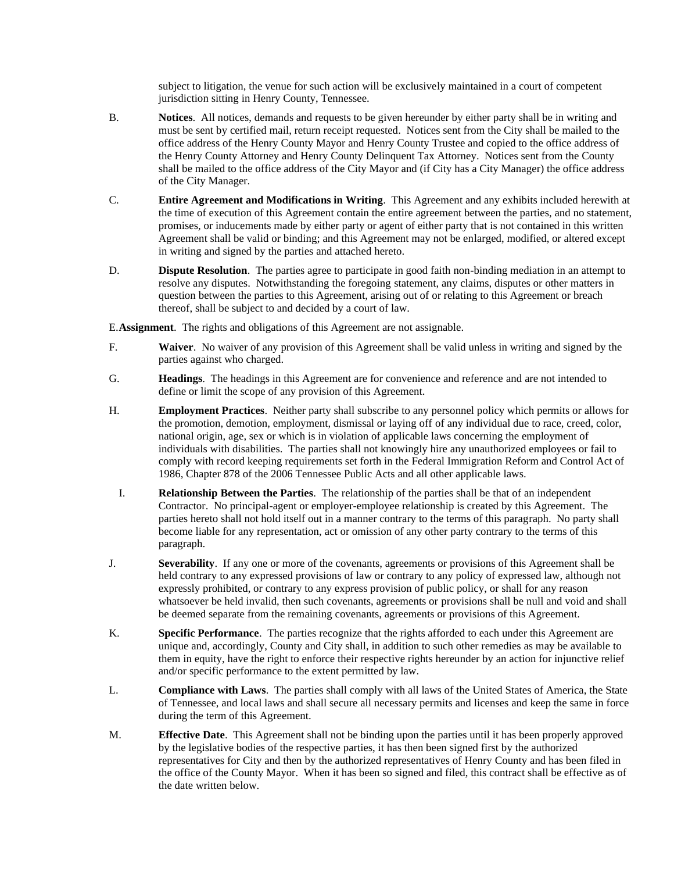subject to litigation, the venue for such action will be exclusively maintained in a court of competent jurisdiction sitting in Henry County, Tennessee.

- B. **Notices**. All notices, demands and requests to be given hereunder by either party shall be in writing and must be sent by certified mail, return receipt requested. Notices sent from the City shall be mailed to the office address of the Henry County Mayor and Henry County Trustee and copied to the office address of the Henry County Attorney and Henry County Delinquent Tax Attorney. Notices sent from the County shall be mailed to the office address of the City Mayor and (if City has a City Manager) the office address of the City Manager.
- C. **Entire Agreement and Modifications in Writing**. This Agreement and any exhibits included herewith at the time of execution of this Agreement contain the entire agreement between the parties, and no statement, promises, or inducements made by either party or agent of either party that is not contained in this written Agreement shall be valid or binding; and this Agreement may not be enlarged, modified, or altered except in writing and signed by the parties and attached hereto.
- D. **Dispute Resolution**. The parties agree to participate in good faith non-binding mediation in an attempt to resolve any disputes. Notwithstanding the foregoing statement, any claims, disputes or other matters in question between the parties to this Agreement, arising out of or relating to this Agreement or breach thereof, shall be subject to and decided by a court of law.

E.**Assignment**. The rights and obligations of this Agreement are not assignable.

- F. **Waiver**. No waiver of any provision of this Agreement shall be valid unless in writing and signed by the parties against who charged.
- G. **Headings**. The headings in this Agreement are for convenience and reference and are not intended to define or limit the scope of any provision of this Agreement.
- H. **Employment Practices**. Neither party shall subscribe to any personnel policy which permits or allows for the promotion, demotion, employment, dismissal or laying off of any individual due to race, creed, color, national origin, age, sex or which is in violation of applicable laws concerning the employment of individuals with disabilities. The parties shall not knowingly hire any unauthorized employees or fail to comply with record keeping requirements set forth in the Federal Immigration Reform and Control Act of 1986, Chapter 878 of the 2006 Tennessee Public Acts and all other applicable laws.
	- I. **Relationship Between the Parties**. The relationship of the parties shall be that of an independent Contractor. No principal-agent or employer-employee relationship is created by this Agreement. The parties hereto shall not hold itself out in a manner contrary to the terms of this paragraph. No party shall become liable for any representation, act or omission of any other party contrary to the terms of this paragraph.
- J. **Severability**. If any one or more of the covenants, agreements or provisions of this Agreement shall be held contrary to any expressed provisions of law or contrary to any policy of expressed law, although not expressly prohibited, or contrary to any express provision of public policy, or shall for any reason whatsoever be held invalid, then such covenants, agreements or provisions shall be null and void and shall be deemed separate from the remaining covenants, agreements or provisions of this Agreement.
- K. **Specific Performance**. The parties recognize that the rights afforded to each under this Agreement are unique and, accordingly, County and City shall, in addition to such other remedies as may be available to them in equity, have the right to enforce their respective rights hereunder by an action for injunctive relief and/or specific performance to the extent permitted by law.
- L. **Compliance with Laws**. The parties shall comply with all laws of the United States of America, the State of Tennessee, and local laws and shall secure all necessary permits and licenses and keep the same in force during the term of this Agreement.
- M. **Effective Date**. This Agreement shall not be binding upon the parties until it has been properly approved by the legislative bodies of the respective parties, it has then been signed first by the authorized representatives for City and then by the authorized representatives of Henry County and has been filed in the office of the County Mayor. When it has been so signed and filed, this contract shall be effective as of the date written below.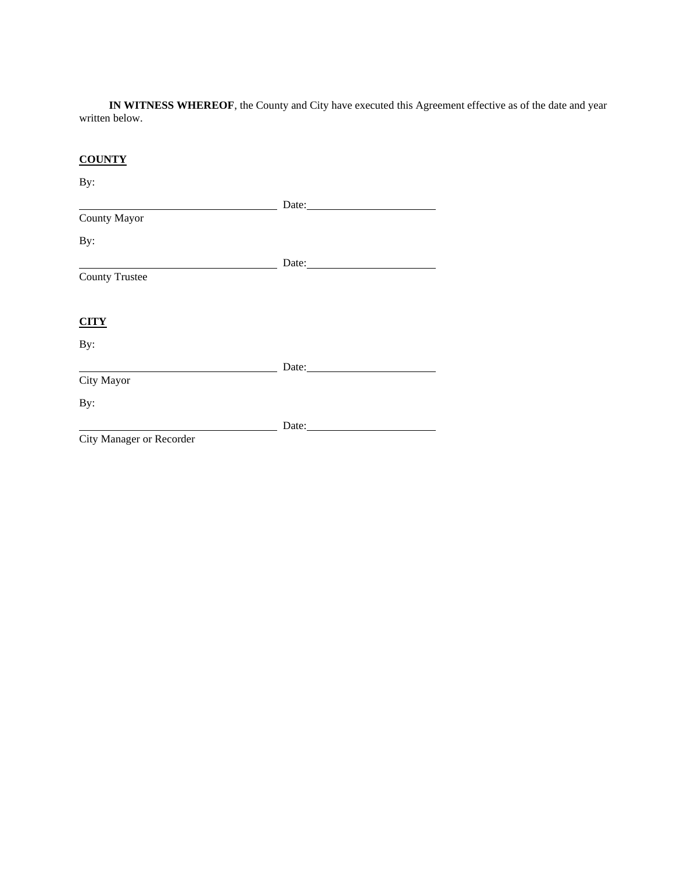**IN WITNESS WHEREOF**, the County and City have executed this Agreement effective as of the date and year written below.

# **COUNTY**

### By:

|                          | Date: |
|--------------------------|-------|
| <b>County Mayor</b>      |       |
| By:                      |       |
|                          |       |
| <b>County Trustee</b>    |       |
| <b>CITY</b>              |       |
| By:                      |       |
|                          | Date: |
| City Mayor               |       |
| By:                      |       |
|                          | Date: |
| City Manager or Recorder |       |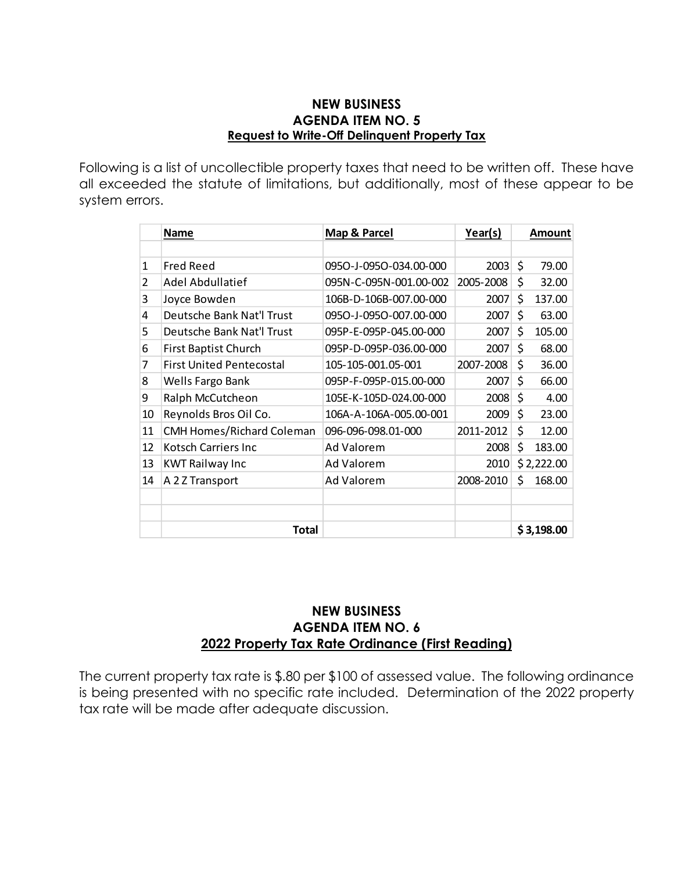### **NEW BUSINESS AGENDA ITEM NO. 5 Request to Write-Off Delinquent Property Tax**

Following is a list of uncollectible property taxes that need to be written off. These have all exceeded the statute of limitations, but additionally, most of these appear to be system errors.

|    | <b>Name</b>                      | Map & Parcel           | Year(s)   |    | Amount     |
|----|----------------------------------|------------------------|-----------|----|------------|
|    |                                  |                        |           |    |            |
| 1  | <b>Fred Reed</b>                 | 0950-J-0950-034.00-000 | 2003      | \$ | 79.00      |
| 2  | Adel Abdullatief                 | 095N-C-095N-001.00-002 | 2005-2008 | \$ | 32.00      |
| 3  | Joyce Bowden                     | 106B-D-106B-007.00-000 | 2007      | \$ | 137.00     |
| 4  | Deutsche Bank Nat'l Trust        | 0950-J-0950-007.00-000 | 2007      | \$ | 63.00      |
| 5  | Deutsche Bank Nat'l Trust        | 095P-E-095P-045.00-000 | 2007      | \$ | 105.00     |
| 6  | <b>First Baptist Church</b>      | 095P-D-095P-036.00-000 | 2007      | \$ | 68.00      |
| 7  | <b>First United Pentecostal</b>  | 105-105-001.05-001     | 2007-2008 | \$ | 36.00      |
| 8  | Wells Fargo Bank                 | 095P-F-095P-015.00-000 | 2007      | Ś  | 66.00      |
| 9  | Ralph McCutcheon                 | 105E-K-105D-024.00-000 | 2008      | \$ | 4.00       |
| 10 | Reynolds Bros Oil Co.            | 106A-A-106A-005.00-001 | 2009      | \$ | 23.00      |
| 11 | <b>CMH Homes/Richard Coleman</b> | 096-096-098.01-000     | 2011-2012 | \$ | 12.00      |
| 12 | Kotsch Carriers Inc              | Ad Valorem             | 2008      | \$ | 183.00     |
| 13 | <b>KWT Railway Inc</b>           | Ad Valorem             | 2010      |    | \$2,222.00 |
| 14 | A 2 Z Transport                  | Ad Valorem             | 2008-2010 | \$ | 168.00     |
|    |                                  |                        |           |    |            |
|    |                                  |                        |           |    |            |
|    | Total                            |                        |           |    | \$3,198.00 |

## **NEW BUSINESS AGENDA ITEM NO. 6 2022 Property Tax Rate Ordinance (First Reading)**

The current property tax rate is \$.80 per \$100 of assessed value. The following ordinance is being presented with no specific rate included. Determination of the 2022 property tax rate will be made after adequate discussion.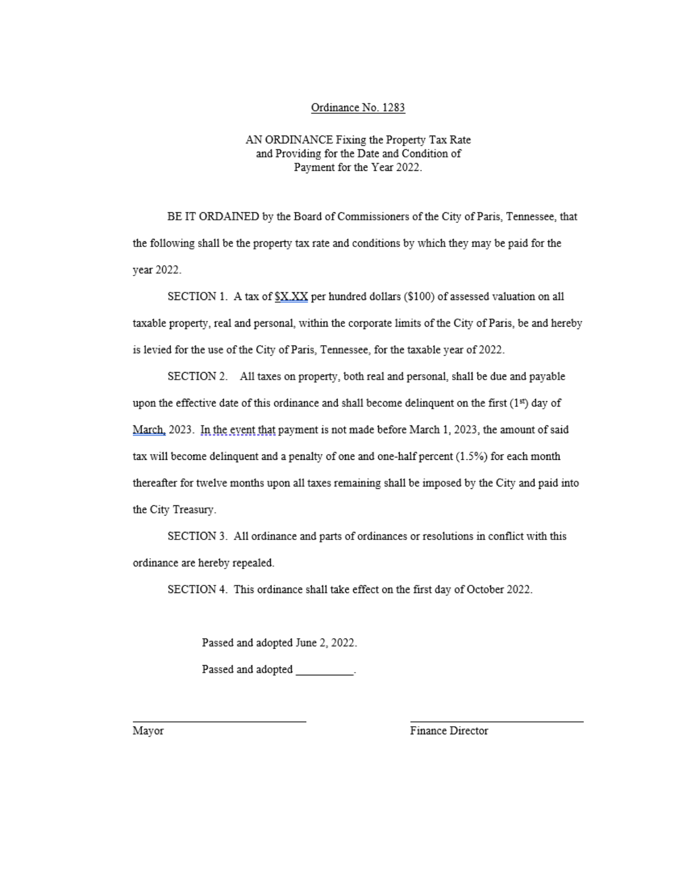#### Ordinance No. 1283

#### AN ORDINANCE Fixing the Property Tax Rate and Providing for the Date and Condition of Payment for the Year 2022.

BE IT ORDAINED by the Board of Commissioners of the City of Paris, Tennessee, that the following shall be the property tax rate and conditions by which they may be paid for the vear 2022.

SECTION 1. A tax of SXXX per hundred dollars (\$100) of assessed valuation on all taxable property, real and personal, within the corporate limits of the City of Paris, be and hereby is levied for the use of the City of Paris, Tennessee, for the taxable year of 2022.

SECTION 2. All taxes on property, both real and personal, shall be due and payable upon the effective date of this ordinance and shall become delinquent on the first (1st) day of March, 2023. In the event that payment is not made before March 1, 2023, the amount of said tax will become delinquent and a penalty of one and one-half percent  $(1.5%)$  for each month thereafter for twelve months upon all taxes remaining shall be imposed by the City and paid into the City Treasury.

SECTION 3. All ordinance and parts of ordinances or resolutions in conflict with this ordinance are hereby repealed.

SECTION 4. This ordinance shall take effect on the first day of October 2022.

Passed and adopted June 2, 2022.

Passed and adopted Fassed.

Mayor

Finance Director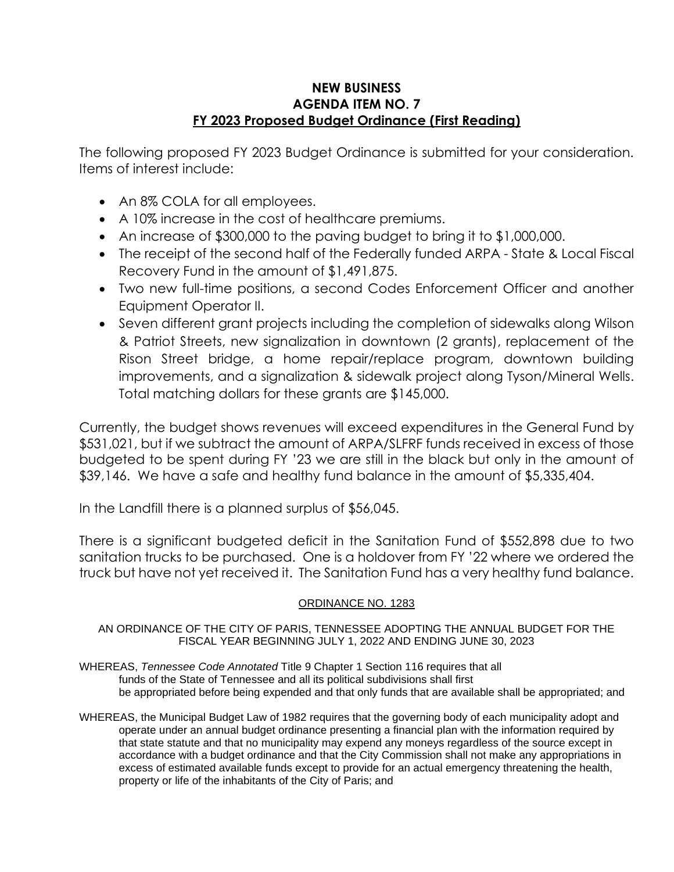## **NEW BUSINESS AGENDA ITEM NO. 7 FY 2023 Proposed Budget Ordinance (First Reading)**

The following proposed FY 2023 Budget Ordinance is submitted for your consideration. Items of interest include:

- An 8% COLA for all employees.
- A 10% increase in the cost of healthcare premiums.
- An increase of \$300,000 to the paving budget to bring it to \$1,000,000.
- The receipt of the second half of the Federally funded ARPA State & Local Fiscal Recovery Fund in the amount of \$1,491,875.
- Two new full-time positions, a second Codes Enforcement Officer and another Equipment Operator II.
- Seven different grant projects including the completion of sidewalks along Wilson & Patriot Streets, new signalization in downtown (2 grants), replacement of the Rison Street bridge, a home repair/replace program, downtown building improvements, and a signalization & sidewalk project along Tyson/Mineral Wells. Total matching dollars for these grants are \$145,000.

Currently, the budget shows revenues will exceed expenditures in the General Fund by \$531,021, but if we subtract the amount of ARPA/SLFRF funds received in excess of those budgeted to be spent during FY '23 we are still in the black but only in the amount of \$39,146. We have a safe and healthy fund balance in the amount of \$5,335,404.

In the Landfill there is a planned surplus of \$56,045.

There is a significant budgeted deficit in the Sanitation Fund of \$552,898 due to two sanitation trucks to be purchased. One is a holdover from FY '22 where we ordered the truck but have not yet received it. The Sanitation Fund has a very healthy fund balance.

### ORDINANCE NO. 1283

#### AN ORDINANCE OF THE CITY OF PARIS, TENNESSEE ADOPTING THE ANNUAL BUDGET FOR THE FISCAL YEAR BEGINNING JULY 1, 2022 AND ENDING JUNE 30, 2023

- WHEREAS, *Tennessee Code Annotated* Title 9 Chapter 1 Section 116 requires that all funds of the State of Tennessee and all its political subdivisions shall first be appropriated before being expended and that only funds that are available shall be appropriated; and
- WHEREAS, the Municipal Budget Law of 1982 requires that the governing body of each municipality adopt and operate under an annual budget ordinance presenting a financial plan with the information required by that state statute and that no municipality may expend any moneys regardless of the source except in accordance with a budget ordinance and that the City Commission shall not make any appropriations in excess of estimated available funds except to provide for an actual emergency threatening the health, property or life of the inhabitants of the City of Paris; and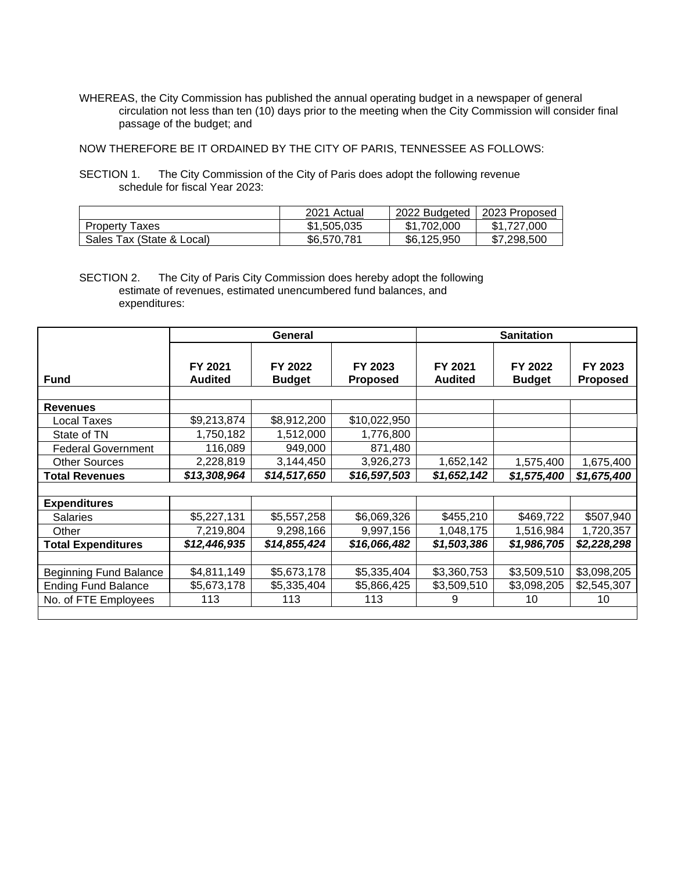WHEREAS, the City Commission has published the annual operating budget in a newspaper of general circulation not less than ten (10) days prior to the meeting when the City Commission will consider final passage of the budget; and

NOW THEREFORE BE IT ORDAINED BY THE CITY OF PARIS, TENNESSEE AS FOLLOWS:

SECTION 1. The City Commission of the City of Paris does adopt the following revenue schedule for fiscal Year 2023:

|                           | 2021 Actual | 2022 Budgeted | 2023 Proposed |
|---------------------------|-------------|---------------|---------------|
| <b>Property Taxes</b>     | \$1,505,035 | \$1,702,000   | \$1.727.000   |
| Sales Tax (State & Local) | \$6,570,781 | \$6.125.950   | \$7,298,500   |

SECTION 2. The City of Paris City Commission does hereby adopt the following estimate of revenues, estimated unencumbered fund balances, and expenditures:

|                               |                           | General                  |                     | <b>Sanitation</b>         |                          |                            |
|-------------------------------|---------------------------|--------------------------|---------------------|---------------------------|--------------------------|----------------------------|
| <b>Fund</b>                   | FY 2021<br><b>Audited</b> | FY 2022<br><b>Budget</b> | FY 2023<br>Proposed | FY 2021<br><b>Audited</b> | FY 2022<br><b>Budget</b> | FY 2023<br><b>Proposed</b> |
|                               |                           |                          |                     |                           |                          |                            |
| <b>Revenues</b>               |                           |                          |                     |                           |                          |                            |
| <b>Local Taxes</b>            | \$9,213,874               | \$8,912,200              | \$10,022,950        |                           |                          |                            |
| State of TN                   | 1,750,182                 | 1,512,000                | 1,776,800           |                           |                          |                            |
| <b>Federal Government</b>     | 116,089                   | 949,000                  | 871,480             |                           |                          |                            |
| <b>Other Sources</b>          | 2,228,819                 | 3,144,450                | 3,926,273           | 1,652,142                 | 1,575,400                | 1,675,400                  |
| <b>Total Revenues</b>         | \$13,308,964              | \$14,517,650             | \$16,597,503        | \$1,652,142               | \$1,575,400              | \$1,675,400                |
|                               |                           |                          |                     |                           |                          |                            |
| <b>Expenditures</b>           |                           |                          |                     |                           |                          |                            |
| <b>Salaries</b>               | \$5,227,131               | \$5,557,258              | \$6,069,326         | \$455,210                 | \$469,722                | \$507,940                  |
| Other                         | 7,219,804                 | 9,298,166                | 9,997,156           | 1,048,175                 | 1,516,984                | 1,720,357                  |
| <b>Total Expenditures</b>     | \$12,446,935              | \$14,855,424             | \$16,066,482        | \$1,503,386               | \$1,986,705              | \$2,228,298                |
|                               |                           |                          |                     |                           |                          |                            |
| <b>Beginning Fund Balance</b> | \$4,811,149               | \$5,673,178              | \$5,335,404         | \$3,360,753               | \$3,509,510              | \$3,098,205                |
| <b>Ending Fund Balance</b>    | \$5,673,178               | \$5,335,404              | \$5,866,425         | \$3,509,510               | \$3,098,205              | \$2,545,307                |
| No. of FTE Employees          | 113                       | 113                      | 113                 | 9                         | 10                       | 10                         |
|                               |                           |                          |                     |                           |                          |                            |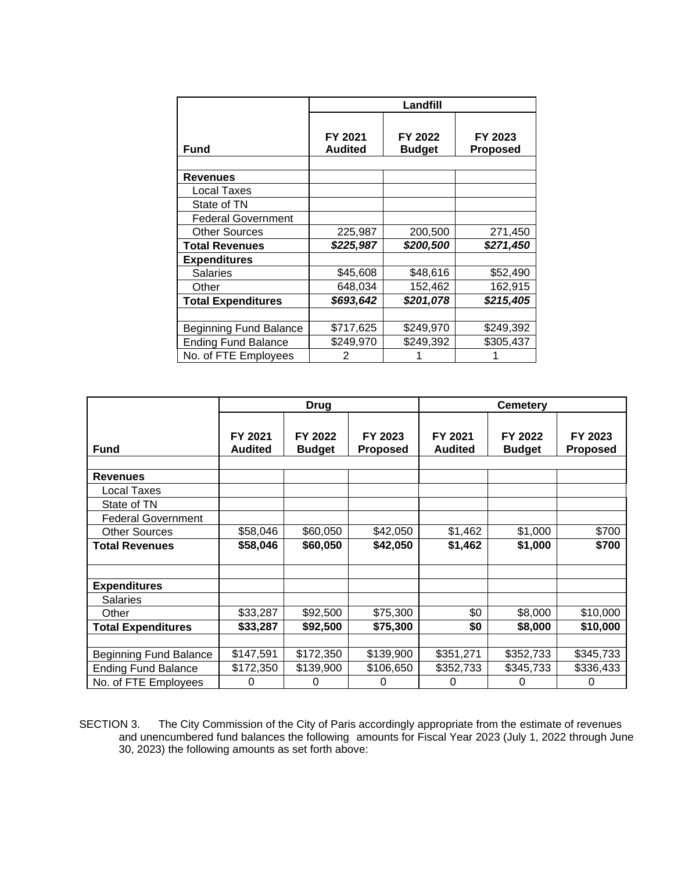|                               | Landfill                  |                          |                            |  |  |
|-------------------------------|---------------------------|--------------------------|----------------------------|--|--|
| Fund                          | FY 2021<br><b>Audited</b> | FY 2022<br><b>Budget</b> | FY 2023<br><b>Proposed</b> |  |  |
|                               |                           |                          |                            |  |  |
| <b>Revenues</b>               |                           |                          |                            |  |  |
| Local Taxes                   |                           |                          |                            |  |  |
| State of TN                   |                           |                          |                            |  |  |
| <b>Federal Government</b>     |                           |                          |                            |  |  |
| <b>Other Sources</b>          | 225,987                   | 200,500                  | 271,450                    |  |  |
| <b>Total Revenues</b>         | \$225,987                 | \$200,500                | \$271,450                  |  |  |
| <b>Expenditures</b>           |                           |                          |                            |  |  |
| <b>Salaries</b>               | \$45,608                  | \$48,616                 | \$52,490                   |  |  |
| Other                         | 648,034                   | 152,462                  | 162,915                    |  |  |
| <b>Total Expenditures</b>     | \$693,642                 | \$201,078                | \$215,405                  |  |  |
|                               |                           |                          |                            |  |  |
| <b>Beginning Fund Balance</b> | \$717,625                 | \$249,970                | \$249,392                  |  |  |
| <b>Ending Fund Balance</b>    | \$249,970                 | \$249,392                | \$305,437                  |  |  |
| No. of FTE Employees          | 2                         |                          |                            |  |  |

|                               | <b>Drug</b>               |                          |                            | <b>Cemetery</b>           |                          |                            |
|-------------------------------|---------------------------|--------------------------|----------------------------|---------------------------|--------------------------|----------------------------|
| <b>Fund</b>                   | FY 2021<br><b>Audited</b> | FY 2022<br><b>Budget</b> | FY 2023<br><b>Proposed</b> | FY 2021<br><b>Audited</b> | FY 2022<br><b>Budget</b> | FY 2023<br><b>Proposed</b> |
| <b>Revenues</b>               |                           |                          |                            |                           |                          |                            |
| <b>Local Taxes</b>            |                           |                          |                            |                           |                          |                            |
| State of TN                   |                           |                          |                            |                           |                          |                            |
| <b>Federal Government</b>     |                           |                          |                            |                           |                          |                            |
| <b>Other Sources</b>          | \$58,046                  | \$60,050                 | \$42,050                   | \$1,462                   | \$1,000                  | \$700                      |
| <b>Total Revenues</b>         | \$58,046                  | \$60,050                 | \$42,050                   | \$1,462                   | \$1,000                  | \$700                      |
| <b>Expenditures</b>           |                           |                          |                            |                           |                          |                            |
| <b>Salaries</b>               |                           |                          |                            |                           |                          |                            |
| Other                         | \$33,287                  | \$92,500                 | \$75,300                   | \$0                       | \$8,000                  | \$10,000                   |
| <b>Total Expenditures</b>     | \$33,287                  | \$92,500                 | \$75,300                   | \$0                       | \$8,000                  | \$10,000                   |
|                               |                           |                          |                            |                           |                          |                            |
| <b>Beginning Fund Balance</b> | \$147,591                 | \$172,350                | \$139,900                  | \$351,271                 | \$352,733                | \$345,733                  |
| <b>Ending Fund Balance</b>    | \$172,350                 | \$139,900                | \$106,650                  | \$352,733                 | \$345,733                | \$336,433                  |
| No. of FTE Employees          | 0                         | 0                        | 0                          | 0                         | 0                        | 0                          |

SECTION 3. The City Commission of the City of Paris accordingly appropriate from the estimate of revenues and unencumbered fund balances the following amounts for Fiscal Year 2023 (July 1, 2022 through June 30, 2023) the following amounts as set forth above: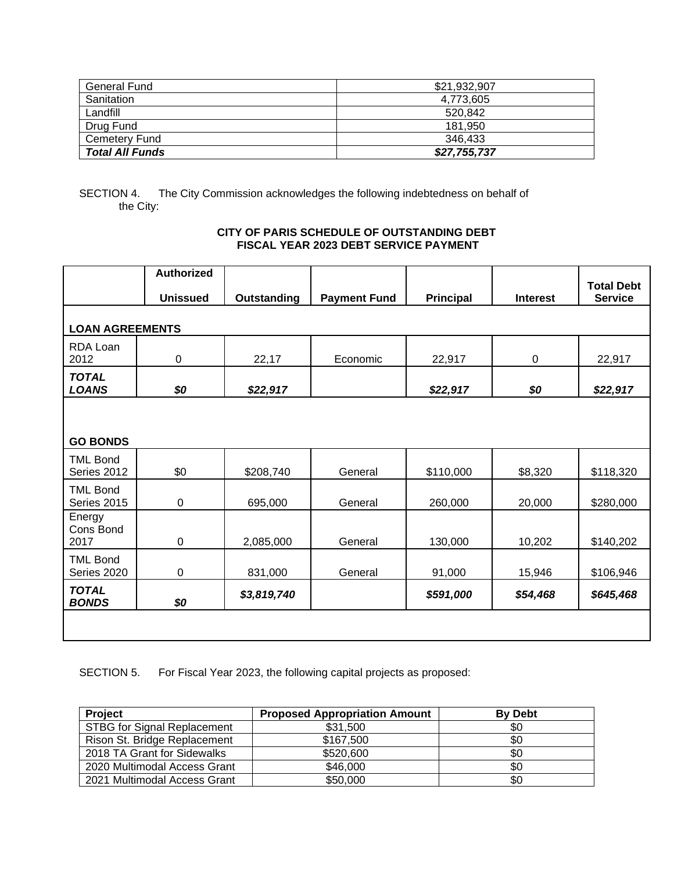| General Fund           | \$21.932.907 |
|------------------------|--------------|
| Sanitation             | 4,773,605    |
| Landfill               | 520.842      |
| Drug Fund              | 181.950      |
| <b>Cemetery Fund</b>   | 346.433      |
| <b>Total All Funds</b> | \$27,755,737 |

SECTION 4. The City Commission acknowledges the following indebtedness on behalf of the City:

#### **CITY OF PARIS SCHEDULE OF OUTSTANDING DEBT FISCAL YEAR 2023 DEBT SERVICE PAYMENT**

|                                | <b>Authorized</b> |                    |                     |                  |                 | <b>Total Debt</b> |
|--------------------------------|-------------------|--------------------|---------------------|------------------|-----------------|-------------------|
|                                | <b>Unissued</b>   | <b>Outstanding</b> | <b>Payment Fund</b> | <b>Principal</b> | <b>Interest</b> | <b>Service</b>    |
|                                |                   |                    |                     |                  |                 |                   |
| <b>LOAN AGREEMENTS</b>         |                   |                    |                     |                  |                 |                   |
| RDA Loan<br>2012               | $\pmb{0}$         | 22,17              | Economic            | 22,917           | $\pmb{0}$       | 22,917            |
| <b>TOTAL</b><br><b>LOANS</b>   | \$0               | \$22,917           |                     | \$22,917         | \$0             | \$22,917          |
|                                |                   |                    |                     |                  |                 |                   |
| <b>GO BONDS</b>                |                   |                    |                     |                  |                 |                   |
| <b>TML Bond</b><br>Series 2012 | \$0               | \$208,740          | General             | \$110,000        | \$8,320         | \$118,320         |
| <b>TML Bond</b><br>Series 2015 | $\pmb{0}$         | 695,000            | General             | 260,000          | 20,000          | \$280,000         |
| Energy<br>Cons Bond<br>2017    | $\pmb{0}$         | 2,085,000          | General             | 130,000          | 10,202          | \$140,202         |
| <b>TML Bond</b><br>Series 2020 | 0                 | 831,000            | General             | 91,000           | 15,946          | \$106,946         |
| <b>TOTAL</b><br><b>BONDS</b>   | \$0               | \$3,819,740        |                     | \$591,000        | \$54,468        | \$645,468         |
|                                |                   |                    |                     |                  |                 |                   |

SECTION 5. For Fiscal Year 2023, the following capital projects as proposed:

| <b>Project</b>                     | <b>Proposed Appropriation Amount</b> | <b>By Debt</b> |
|------------------------------------|--------------------------------------|----------------|
| <b>STBG for Signal Replacement</b> | \$31,500                             | \$0            |
| Rison St. Bridge Replacement       | \$167,500                            | \$0            |
| 2018 TA Grant for Sidewalks        | \$520,600                            | \$0            |
| 2020 Multimodal Access Grant       | \$46,000                             | \$0            |
| 2021 Multimodal Access Grant       | \$50,000                             | \$0            |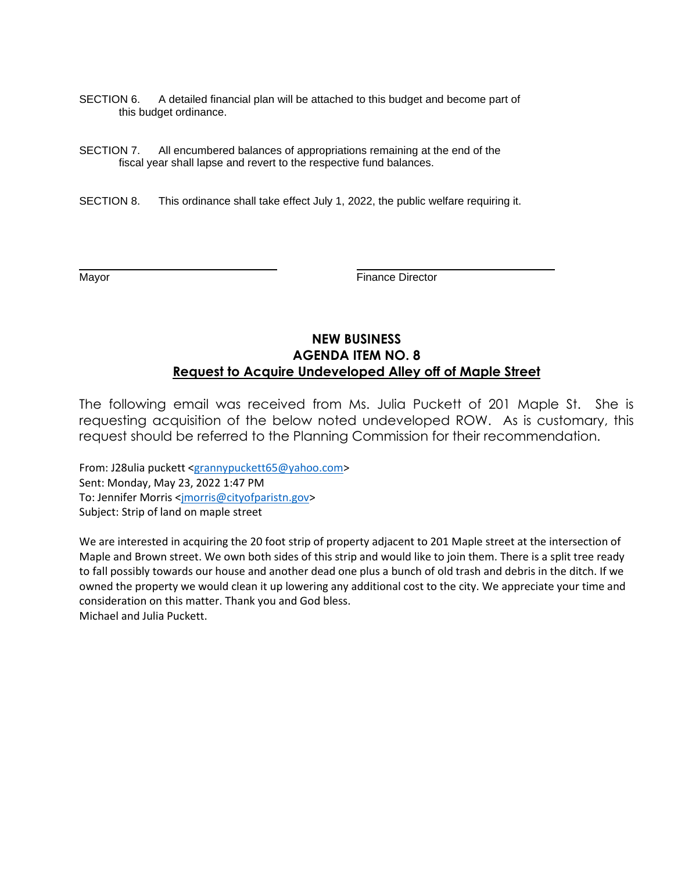- SECTION 6. A detailed financial plan will be attached to this budget and become part of this budget ordinance.
- SECTION 7. All encumbered balances of appropriations remaining at the end of the fiscal year shall lapse and revert to the respective fund balances.
- SECTION 8. This ordinance shall take effect July 1, 2022, the public welfare requiring it.

Mayor **Mayor Example 2018** The Mayor **Finance Director** 

### **NEW BUSINESS AGENDA ITEM NO. 8 Request to Acquire Undeveloped Alley off of Maple Street**

The following email was received from Ms. Julia Puckett of 201 Maple St. She is requesting acquisition of the below noted undeveloped ROW. As is customary, this request should be referred to the Planning Commission for their recommendation.

From: J28ulia puckett [<grannypuckett65@yahoo.com>](mailto:grannypuckett65@yahoo.com) Sent: Monday, May 23, 2022 1:47 PM To: Jennifer Morris [<jmorris@cityofparistn.gov>](mailto:jmorris@cityofparistn.gov) Subject: Strip of land on maple street

We are interested in acquiring the 20 foot strip of property adjacent to 201 Maple street at the intersection of Maple and Brown street. We own both sides of this strip and would like to join them. There is a split tree ready to fall possibly towards our house and another dead one plus a bunch of old trash and debris in the ditch. If we owned the property we would clean it up lowering any additional cost to the city. We appreciate your time and consideration on this matter. Thank you and God bless. Michael and Julia Puckett.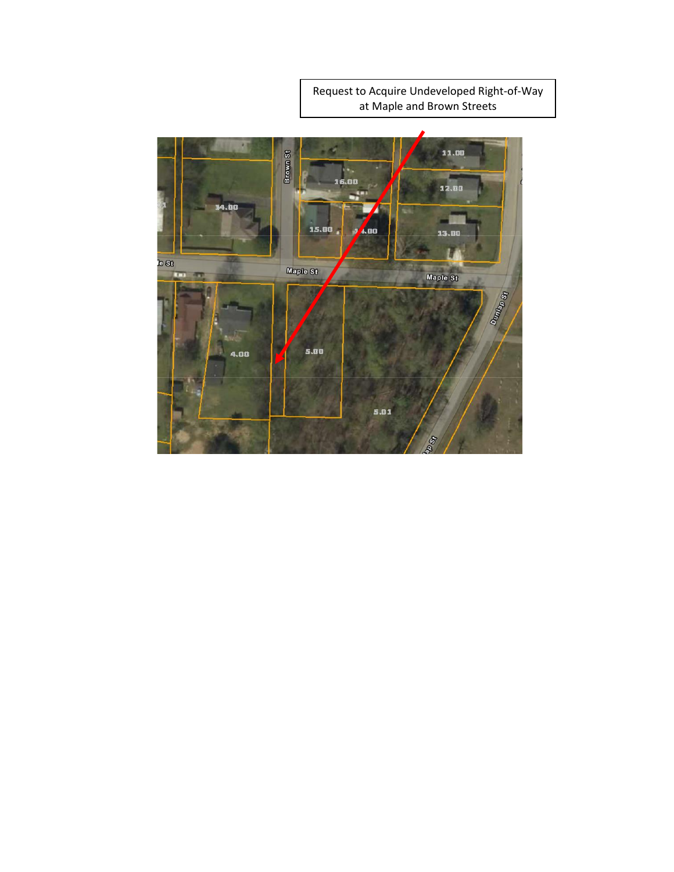Request to Acquire Undeveloped Right-of-Way at Maple and Brown Streets

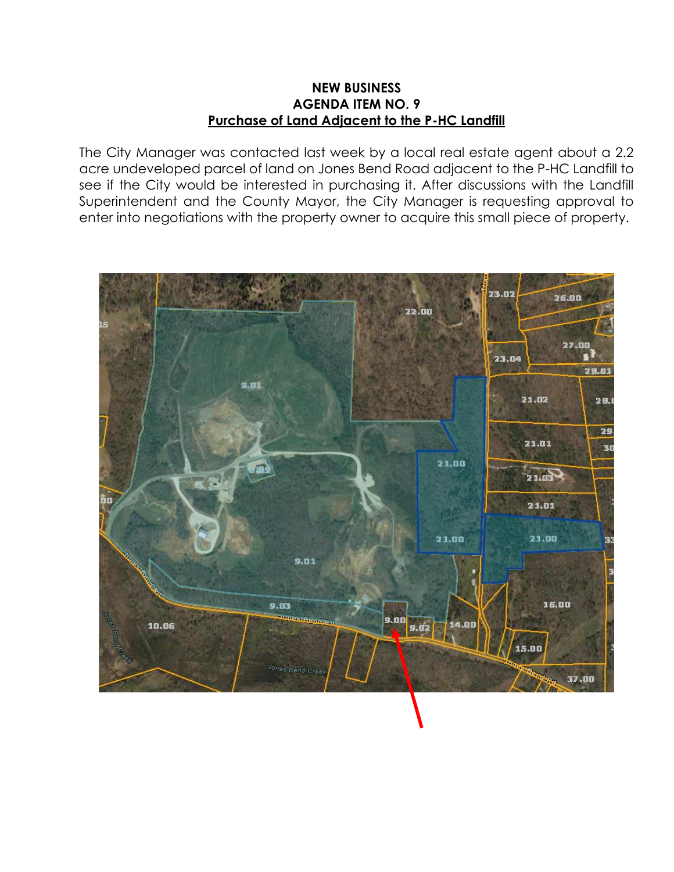### **NEW BUSINESS AGENDA ITEM NO. 9 Purchase of Land Adjacent to the P-HC Landfill**

The City Manager was contacted last week by a local real estate agent about a 2.2 acre undeveloped parcel of land on Jones Bend Road adjacent to the P-HC Landfill to see if the City would be interested in purchasing it. After discussions with the Landfill Superintendent and the County Mayor, the City Manager is requesting approval to enter into negotiations with the property owner to acquire this small piece of property.

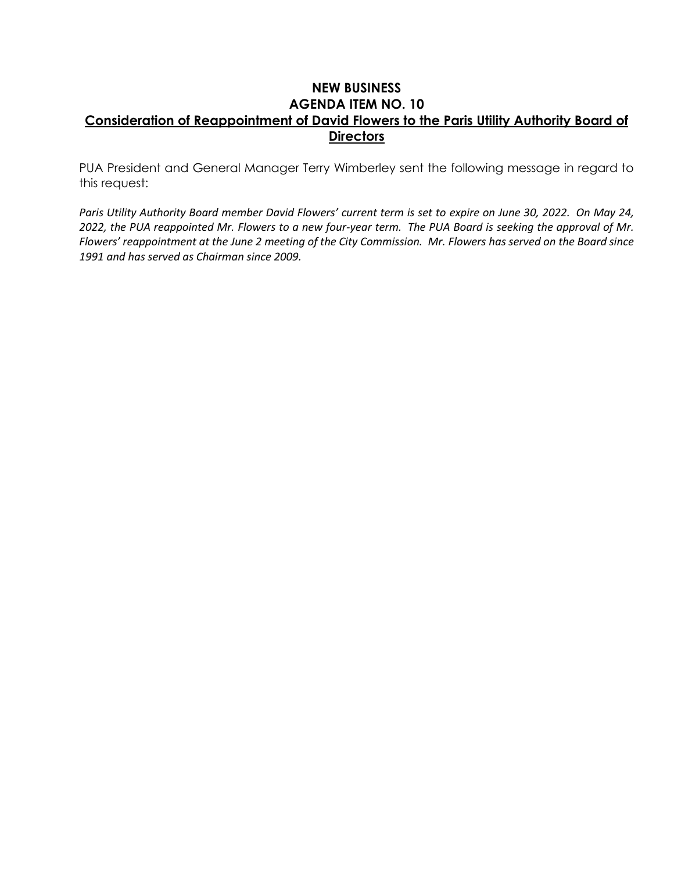## **NEW BUSINESS AGENDA ITEM NO. 10 Consideration of Reappointment of David Flowers to the Paris Utility Authority Board of Directors**

PUA President and General Manager Terry Wimberley sent the following message in regard to this request:

Paris Utility Authority Board member David Flowers' current term is set to expire on June 30, 2022. On May 24, *2022, the PUA reappointed Mr. Flowers to a new four-year term. The PUA Board is seeking the approval of Mr. Flowers' reappointment at the June 2 meeting of the City Commission. Mr. Flowers has served on the Board since 1991 and has served as Chairman since 2009.*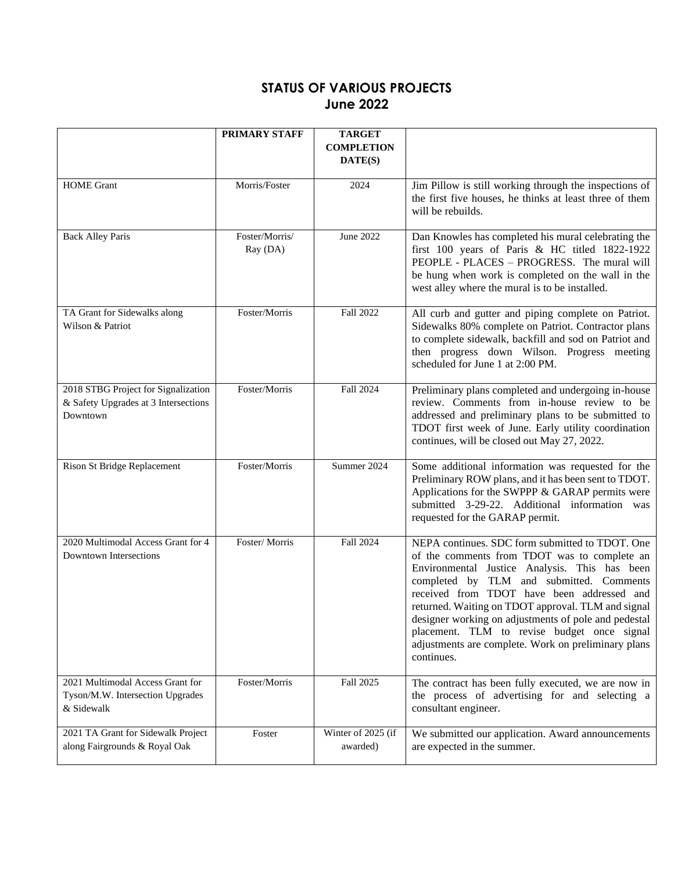# **STATUS OF VARIOUS PROJECTS June 2022**

|                                                                                         | PRIMARY STAFF              | <b>TARGET</b>                  |                                                                                                                                                                                                                                                                                                                                                                                                                                                                              |
|-----------------------------------------------------------------------------------------|----------------------------|--------------------------------|------------------------------------------------------------------------------------------------------------------------------------------------------------------------------------------------------------------------------------------------------------------------------------------------------------------------------------------------------------------------------------------------------------------------------------------------------------------------------|
|                                                                                         |                            | <b>COMPLETION</b><br>DATE(S)   |                                                                                                                                                                                                                                                                                                                                                                                                                                                                              |
| <b>HOME</b> Grant                                                                       | Morris/Foster              | 2024                           | Jim Pillow is still working through the inspections of<br>the first five houses, he thinks at least three of them<br>will be rebuilds.                                                                                                                                                                                                                                                                                                                                       |
| <b>Back Alley Paris</b>                                                                 | Foster/Morris/<br>Ray (DA) | June 2022                      | Dan Knowles has completed his mural celebrating the<br>first 100 years of Paris & HC titled 1822-1922<br>PEOPLE - PLACES - PROGRESS. The mural will<br>be hung when work is completed on the wall in the<br>west alley where the mural is to be installed.                                                                                                                                                                                                                   |
| TA Grant for Sidewalks along<br>Wilson & Patriot                                        | Foster/Morris              | Fall 2022                      | All curb and gutter and piping complete on Patriot.<br>Sidewalks 80% complete on Patriot. Contractor plans<br>to complete sidewalk, backfill and sod on Patriot and<br>then progress down Wilson. Progress meeting<br>scheduled for June 1 at 2:00 PM.                                                                                                                                                                                                                       |
| 2018 STBG Project for Signalization<br>& Safety Upgrades at 3 Intersections<br>Downtown | Foster/Morris              | Fall 2024                      | Preliminary plans completed and undergoing in-house<br>review. Comments from in-house review to be<br>addressed and preliminary plans to be submitted to<br>TDOT first week of June. Early utility coordination<br>continues, will be closed out May 27, 2022.                                                                                                                                                                                                               |
| Rison St Bridge Replacement                                                             | Foster/Morris              | Summer 2024                    | Some additional information was requested for the<br>Preliminary ROW plans, and it has been sent to TDOT.<br>Applications for the SWPPP & GARAP permits were<br>submitted 3-29-22. Additional information was<br>requested for the GARAP permit.                                                                                                                                                                                                                             |
| 2020 Multimodal Access Grant for 4<br><b>Downtown Intersections</b>                     | Foster/Morris              | Fall 2024                      | NEPA continues. SDC form submitted to TDOT. One<br>of the comments from TDOT was to complete an<br>Environmental Justice Analysis. This has been<br>completed by TLM and submitted. Comments<br>received from TDOT have been addressed and<br>returned. Waiting on TDOT approval. TLM and signal<br>designer working on adjustments of pole and pedestal<br>placement. TLM to revise budget once signal<br>adjustments are complete. Work on preliminary plans<br>continues. |
| 2021 Multimodal Access Grant for<br>Tyson/M.W. Intersection Upgrades<br>& Sidewalk      | Foster/Morris              | Fall 2025                      | The contract has been fully executed, we are now in<br>the process of advertising for and selecting a<br>consultant engineer.                                                                                                                                                                                                                                                                                                                                                |
| 2021 TA Grant for Sidewalk Project<br>along Fairgrounds & Royal Oak                     | Foster                     | Winter of 2025 (if<br>awarded) | We submitted our application. Award announcements<br>are expected in the summer.                                                                                                                                                                                                                                                                                                                                                                                             |